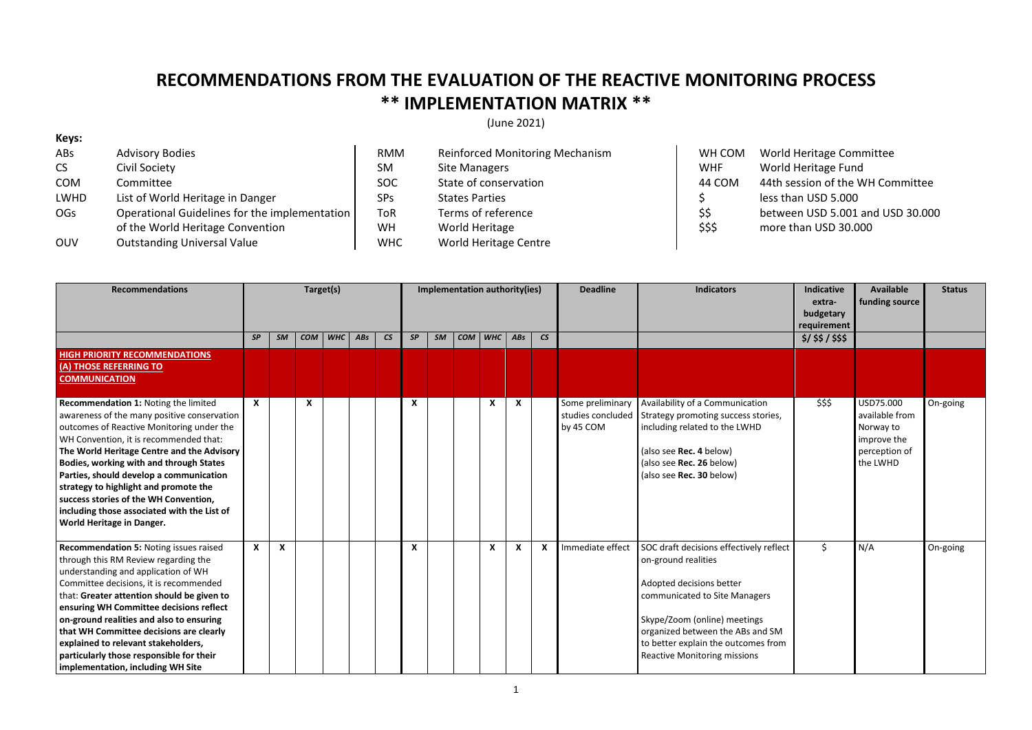## **RECOMMENDATIONS FROM THE EVALUATION OF THE REACTIVE MONITORING PROCESS \*\* IMPLEMENTATION MATRIX \*\***

(June 2021)

| ABs         | <b>Advisory Bodies</b>                        | <b>RMM</b> | <b>Reinforced Monitoring Mechanism</b> | WH COM     | World Heritage Committee         |
|-------------|-----------------------------------------------|------------|----------------------------------------|------------|----------------------------------|
| CS.         | Civil Society                                 | <b>SM</b>  | <b>Site Managers</b>                   | <b>WHF</b> | World Heritage Fund              |
| <b>COM</b>  | Committee                                     | <b>SOC</b> | State of conservation                  | 44 COM     | 44th session of the WH Committee |
| <b>LWHD</b> | List of World Heritage in Danger              | <b>SPs</b> | <b>States Parties</b>                  |            | less than USD 5.000              |
| <b>OGs</b>  | Operational Guidelines for the implementation | <b>ToR</b> | Terms of reference                     | \$\$       | between USD 5.001 and USD 30.000 |
|             | of the World Heritage Convention              | <b>WH</b>  | World Heritage                         | \$\$\$     | more than USD 30.000             |
| <b>OUV</b>  | <b>Outstanding Universal Value</b>            | <b>WHC</b> | World Heritage Centre                  |            |                                  |

**Keys:** 

| <b>Recommendations</b>                                                                                                                                                                                                                                                                                                                                                                                                                                                       |              |                  |            | Target(s) |     |              |    |           | Implementation authority(ies) |            |                 |                        | <b>Deadline</b>                                    | <b>Indicators</b>                                                                                                                                                                                                                                                             | Indicative<br>extra-<br>budgetary<br>requirement | <b>Available</b><br>funding source                                                   | <b>Status</b> |
|------------------------------------------------------------------------------------------------------------------------------------------------------------------------------------------------------------------------------------------------------------------------------------------------------------------------------------------------------------------------------------------------------------------------------------------------------------------------------|--------------|------------------|------------|-----------|-----|--------------|----|-----------|-------------------------------|------------|-----------------|------------------------|----------------------------------------------------|-------------------------------------------------------------------------------------------------------------------------------------------------------------------------------------------------------------------------------------------------------------------------------|--------------------------------------------------|--------------------------------------------------------------------------------------|---------------|
|                                                                                                                                                                                                                                                                                                                                                                                                                                                                              | <b>SP</b>    | SM               | <b>COM</b> | WHC       | ABs | $\mathsf{c}$ | SP | <b>SM</b> | <b>COM</b>                    | <b>WHC</b> | AB <sub>S</sub> | $\mathsf{c}\mathsf{s}$ |                                                    |                                                                                                                                                                                                                                                                               | $$1$ \$\$ / \$\$\$                               |                                                                                      |               |
| <b>HIGH PRIORITY RECOMMENDATIONS</b><br>(A) THOSE REFERRING TO<br><b>COMMUNICATION</b>                                                                                                                                                                                                                                                                                                                                                                                       |              |                  |            |           |     |              |    |           |                               |            |                 |                        |                                                    |                                                                                                                                                                                                                                                                               |                                                  |                                                                                      |               |
| Recommendation 1: Noting the limited<br>awareness of the many positive conservation<br>outcomes of Reactive Monitoring under the<br>WH Convention, it is recommended that:<br>The World Heritage Centre and the Advisory<br>Bodies, working with and through States<br>Parties, should develop a communication<br>strategy to highlight and promote the<br>success stories of the WH Convention,<br>including those associated with the List of<br>World Heritage in Danger. | $\mathsf{x}$ |                  | X          |           |     |              | X  |           |                               | X          | $\mathsf{x}$    |                        | Some preliminary<br>studies concluded<br>by 45 COM | Availability of a Communication<br>Strategy promoting success stories,<br>including related to the LWHD<br>(also see Rec. 4 below)<br>(also see Rec. 26 below)<br>(also see Rec. 30 below)                                                                                    | \$\$\$                                           | USD75.000<br>available from<br>Norway to<br>improve the<br>perception of<br>the LWHD | On-going      |
| Recommendation 5: Noting issues raised<br>through this RM Review regarding the<br>understanding and application of WH<br>Committee decisions, it is recommended<br>that: Greater attention should be given to<br>ensuring WH Committee decisions reflect<br>on-ground realities and also to ensuring<br>that WH Committee decisions are clearly<br>explained to relevant stakeholders,<br>particularly those responsible for their<br>implementation, including WH Site      | $\mathsf{x}$ | $\boldsymbol{x}$ |            |           |     |              | X  |           |                               | X          | X               | $\boldsymbol{x}$       | Immediate effect                                   | SOC draft decisions effectively reflect<br>on-ground realities<br>Adopted decisions better<br>communicated to Site Managers<br>Skype/Zoom (online) meetings<br>organized between the ABs and SM<br>to better explain the outcomes from<br><b>Reactive Monitoring missions</b> | \$                                               | N/A                                                                                  | On-going      |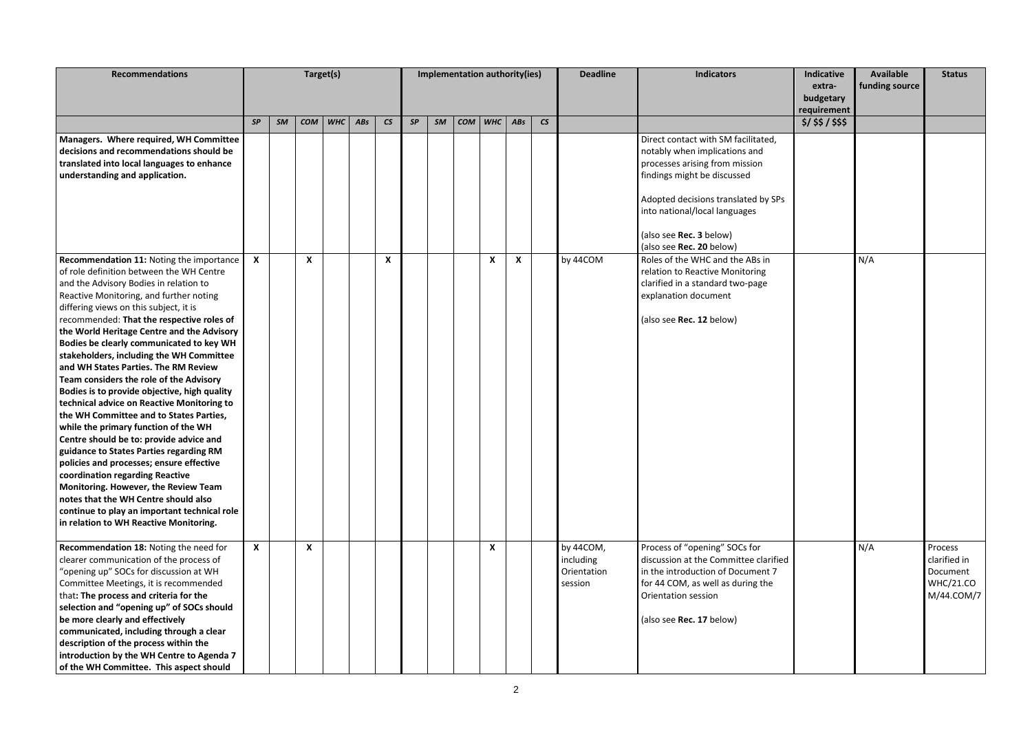| <b>Recommendations</b>                                                                                                                                                                                                                                                                                                                                                                                                                                                                                                                                                                                                                                                                                                                                                                                                                                                                                                                                                                                                    |                           |    |            | Target(s)  |     |                          |    |    | Implementation authority(ies) |            |                 |                          | <b>Deadline</b>                                  | <b>Indicators</b>                                                                                                                                                                                                                                                    | Indicative<br>extra-     | Available<br>funding source | <b>Status</b>                                                         |
|---------------------------------------------------------------------------------------------------------------------------------------------------------------------------------------------------------------------------------------------------------------------------------------------------------------------------------------------------------------------------------------------------------------------------------------------------------------------------------------------------------------------------------------------------------------------------------------------------------------------------------------------------------------------------------------------------------------------------------------------------------------------------------------------------------------------------------------------------------------------------------------------------------------------------------------------------------------------------------------------------------------------------|---------------------------|----|------------|------------|-----|--------------------------|----|----|-------------------------------|------------|-----------------|--------------------------|--------------------------------------------------|----------------------------------------------------------------------------------------------------------------------------------------------------------------------------------------------------------------------------------------------------------------------|--------------------------|-----------------------------|-----------------------------------------------------------------------|
|                                                                                                                                                                                                                                                                                                                                                                                                                                                                                                                                                                                                                                                                                                                                                                                                                                                                                                                                                                                                                           |                           |    |            |            |     |                          |    |    |                               |            |                 |                          |                                                  |                                                                                                                                                                                                                                                                      | budgetary<br>requirement |                             |                                                                       |
|                                                                                                                                                                                                                                                                                                                                                                                                                                                                                                                                                                                                                                                                                                                                                                                                                                                                                                                                                                                                                           | SP                        | SM | <b>COM</b> | <b>WHC</b> | ABs | $\mathsf{CS}\phantom{0}$ | SP | SM | <b>COM</b>                    | <b>WHC</b> | AB <sub>S</sub> | $\mathsf{CS}\phantom{0}$ |                                                  |                                                                                                                                                                                                                                                                      | 5/55/555                 |                             |                                                                       |
| Managers. Where required, WH Committee<br>decisions and recommendations should be<br>translated into local languages to enhance<br>understanding and application.                                                                                                                                                                                                                                                                                                                                                                                                                                                                                                                                                                                                                                                                                                                                                                                                                                                         |                           |    |            |            |     |                          |    |    |                               |            |                 |                          |                                                  | Direct contact with SM facilitated,<br>notably when implications and<br>processes arising from mission<br>findings might be discussed<br>Adopted decisions translated by SPs<br>into national/local languages<br>(also see Rec. 3 below)<br>(also see Rec. 20 below) |                          |                             |                                                                       |
| Recommendation 11: Noting the importance<br>of role definition between the WH Centre<br>and the Advisory Bodies in relation to<br>Reactive Monitoring, and further noting<br>differing views on this subject, it is<br>recommended: That the respective roles of<br>the World Heritage Centre and the Advisory<br>Bodies be clearly communicated to key WH<br>stakeholders, including the WH Committee<br>and WH States Parties. The RM Review<br>Team considers the role of the Advisory<br>Bodies is to provide objective, high quality<br>technical advice on Reactive Monitoring to<br>the WH Committee and to States Parties,<br>while the primary function of the WH<br>Centre should be to: provide advice and<br>guidance to States Parties regarding RM<br>policies and processes; ensure effective<br>coordination regarding Reactive<br>Monitoring. However, the Review Team<br>notes that the WH Centre should also<br>continue to play an important technical role<br>in relation to WH Reactive Monitoring. | $\boldsymbol{\mathsf{x}}$ |    | X          |            |     | X                        |    |    |                               | X          | X               |                          | by 44COM                                         | Roles of the WHC and the ABs in<br>relation to Reactive Monitoring<br>clarified in a standard two-page<br>explanation document<br>(also see Rec. 12 below)                                                                                                           |                          | N/A                         |                                                                       |
| Recommendation 18: Noting the need for<br>clearer communication of the process of<br>"opening up" SOCs for discussion at WH<br>Committee Meetings, it is recommended<br>that: The process and criteria for the<br>selection and "opening up" of SOCs should<br>be more clearly and effectively<br>communicated, including through a clear<br>description of the process within the<br>introduction by the WH Centre to Agenda 7<br>of the WH Committee. This aspect should                                                                                                                                                                                                                                                                                                                                                                                                                                                                                                                                                | $\pmb{\chi}$              |    | X          |            |     |                          |    |    |                               | X          |                 |                          | by 44COM,<br>including<br>Orientation<br>session | Process of "opening" SOCs for<br>discussion at the Committee clarified<br>in the introduction of Document 7<br>for 44 COM, as well as during the<br>Orientation session<br>(also see Rec. 17 below)                                                                  |                          | N/A                         | Process<br>clarified in<br>Document<br><b>WHC/21.CO</b><br>M/44.COM/7 |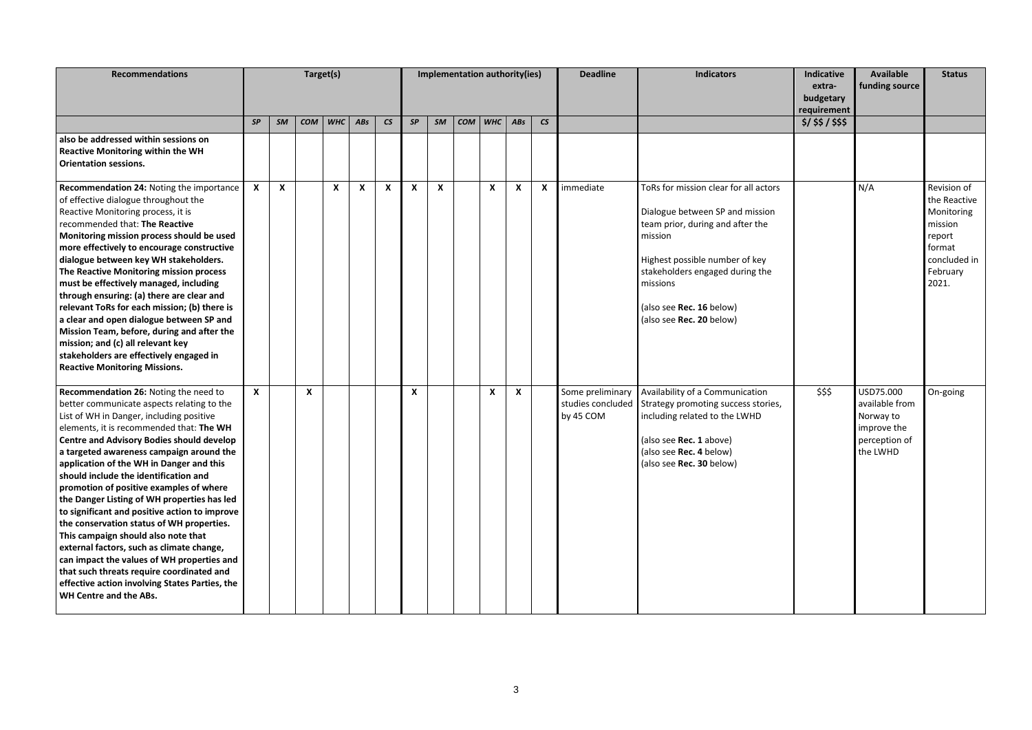| <b>Recommendations</b>                                                                                                                                                                                                                                                                                                                                                                                                                                                                                                                                                                                                                                                                                                                                                                                              |              |                           | Target(s) |            |     |                          |    |              |     | Implementation authority(ies) |                  |                          | <b>Deadline</b>                                    | <b>Indicators</b>                                                                                                                                                                                                                                                | <b>Indicative</b><br>extra-<br>budgetary<br>requirement | <b>Available</b><br>funding source                                                   | <b>Status</b>                                                                                                 |
|---------------------------------------------------------------------------------------------------------------------------------------------------------------------------------------------------------------------------------------------------------------------------------------------------------------------------------------------------------------------------------------------------------------------------------------------------------------------------------------------------------------------------------------------------------------------------------------------------------------------------------------------------------------------------------------------------------------------------------------------------------------------------------------------------------------------|--------------|---------------------------|-----------|------------|-----|--------------------------|----|--------------|-----|-------------------------------|------------------|--------------------------|----------------------------------------------------|------------------------------------------------------------------------------------------------------------------------------------------------------------------------------------------------------------------------------------------------------------------|---------------------------------------------------------|--------------------------------------------------------------------------------------|---------------------------------------------------------------------------------------------------------------|
|                                                                                                                                                                                                                                                                                                                                                                                                                                                                                                                                                                                                                                                                                                                                                                                                                     | SP           | SM                        | COM       | <b>WHC</b> | ABs | $\mathsf{CS}\phantom{0}$ | SP | <b>SM</b>    | COM | <b>WHC</b>                    | ABs              | $\mathsf{CS}\phantom{0}$ |                                                    |                                                                                                                                                                                                                                                                  | 5/55/555                                                |                                                                                      |                                                                                                               |
| also be addressed within sessions on<br><b>Reactive Monitoring within the WH</b><br><b>Orientation sessions.</b>                                                                                                                                                                                                                                                                                                                                                                                                                                                                                                                                                                                                                                                                                                    |              |                           |           |            |     |                          |    |              |     |                               |                  |                          |                                                    |                                                                                                                                                                                                                                                                  |                                                         |                                                                                      |                                                                                                               |
| Recommendation 24: Noting the importance<br>of effective dialogue throughout the<br>Reactive Monitoring process, it is<br>recommended that: The Reactive<br>Monitoring mission process should be used<br>more effectively to encourage constructive<br>dialogue between key WH stakeholders.<br>The Reactive Monitoring mission process<br>must be effectively managed, including<br>through ensuring: (a) there are clear and<br>relevant ToRs for each mission; (b) there is<br>a clear and open dialogue between SP and<br>Mission Team, before, during and after the<br>mission; and (c) all relevant key<br>stakeholders are effectively engaged in<br><b>Reactive Monitoring Missions.</b>                                                                                                                    | $\mathbf{x}$ | $\boldsymbol{\mathsf{x}}$ |           | X          | X   | $\boldsymbol{x}$         | X  | $\mathsf{x}$ |     | $\mathsf{x}$                  | $\boldsymbol{x}$ | $\mathbf{x}$             | immediate                                          | ToRs for mission clear for all actors<br>Dialogue between SP and mission<br>team prior, during and after the<br>mission<br>Highest possible number of key<br>stakeholders engaged during the<br>missions<br>(also see Rec. 16 below)<br>(also see Rec. 20 below) |                                                         | N/A                                                                                  | Revision of<br>the Reactive<br>Monitoring<br>mission<br>report<br>format<br>concluded in<br>February<br>2021. |
| Recommendation 26: Noting the need to<br>better communicate aspects relating to the<br>List of WH in Danger, including positive<br>elements, it is recommended that: The WH<br><b>Centre and Advisory Bodies should develop</b><br>a targeted awareness campaign around the<br>application of the WH in Danger and this<br>should include the identification and<br>promotion of positive examples of where<br>the Danger Listing of WH properties has led<br>to significant and positive action to improve<br>the conservation status of WH properties.<br>This campaign should also note that<br>external factors, such as climate change,<br>can impact the values of WH properties and<br>that such threats require coordinated and<br>effective action involving States Parties, the<br>WH Centre and the ABs. | $\mathsf{x}$ |                           | X         |            |     |                          | x  |              |     | X                             | $\mathsf{x}$     |                          | Some preliminary<br>studies concluded<br>by 45 COM | Availability of a Communication<br>Strategy promoting success stories,<br>including related to the LWHD<br>(also see Rec. 1 above)<br>(also see Rec. 4 below)<br>(also see Rec. 30 below)                                                                        | \$\$\$                                                  | USD75.000<br>available from<br>Norway to<br>improve the<br>perception of<br>the LWHD | On-going                                                                                                      |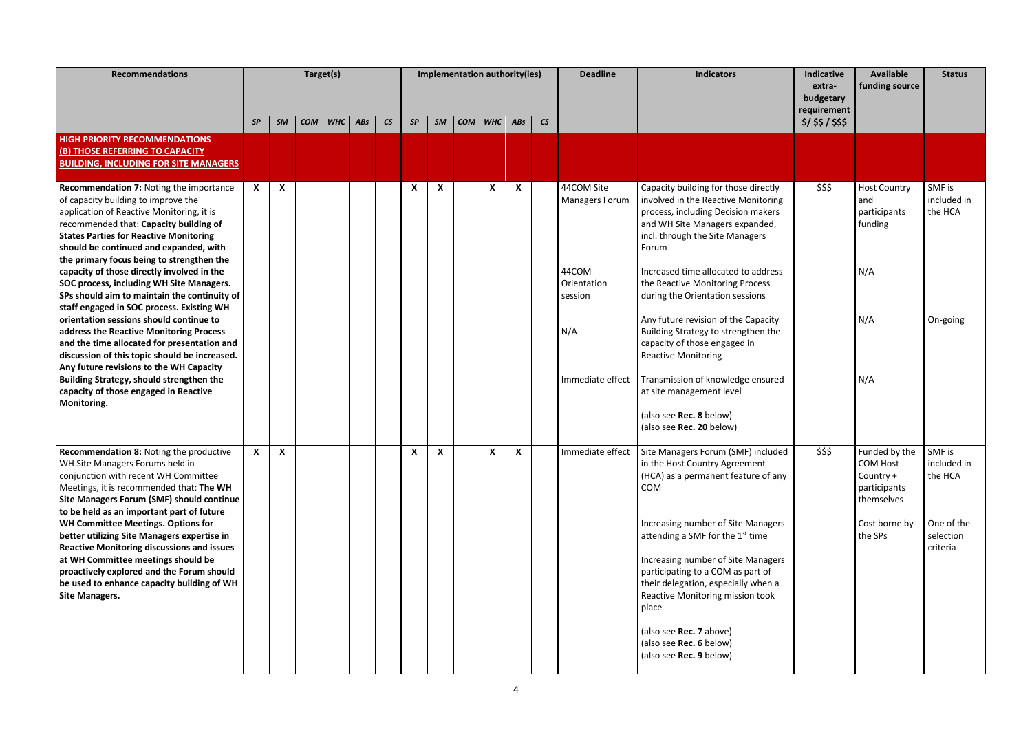| <b>Recommendations</b>                                                                                                                                                                                                                                                                                        |              |    |            | Target(s)  |     |                          |                           |    | Implementation authority(ies) |     |                  |                          | <b>Deadline</b>                 | <b>Indicators</b>                                                                                                                                                                                                                                                            | Indicative<br>extra-<br>budgetary<br>requirement | <b>Available</b><br>funding source                                   | <b>Status</b>                       |
|---------------------------------------------------------------------------------------------------------------------------------------------------------------------------------------------------------------------------------------------------------------------------------------------------------------|--------------|----|------------|------------|-----|--------------------------|---------------------------|----|-------------------------------|-----|------------------|--------------------------|---------------------------------|------------------------------------------------------------------------------------------------------------------------------------------------------------------------------------------------------------------------------------------------------------------------------|--------------------------------------------------|----------------------------------------------------------------------|-------------------------------------|
|                                                                                                                                                                                                                                                                                                               | SP           | SM | <b>COM</b> | <b>WHC</b> | ABs | $\mathsf{CS}\phantom{0}$ | SP                        | SM | COM                           | WHC | ABs              | $\mathsf{CS}\phantom{0}$ |                                 |                                                                                                                                                                                                                                                                              | $$1$ \$\$ / \$\$\$                               |                                                                      |                                     |
| <u>HIGH PRIORITY RECOMMENDATIONS</u><br>(B) THOSE REFERRING TO CAPACITY<br><b>BUILDING, INCLUDING FOR SITE MANAGERS</b>                                                                                                                                                                                       |              |    |            |            |     |                          |                           |    |                               |     |                  |                          |                                 |                                                                                                                                                                                                                                                                              |                                                  |                                                                      |                                     |
| Recommendation 7: Noting the importance<br>of capacity building to improve the<br>application of Reactive Monitoring, it is<br>recommended that: Capacity building of<br><b>States Parties for Reactive Monitoring</b><br>should be continued and expanded, with<br>the primary focus being to strengthen the | $\mathbf{x}$ | X  |            |            |     |                          | x                         | X  |                               | X   | $\boldsymbol{x}$ |                          | 44COM Site<br>Managers Forum    | Capacity building for those directly<br>involved in the Reactive Monitoring<br>process, including Decision makers<br>and WH Site Managers expanded,<br>incl. through the Site Managers<br>Forum                                                                              | \$\$\$                                           | <b>Host Country</b><br>and<br>participants<br>funding                | SMF is<br>included in<br>the HCA    |
| capacity of those directly involved in the<br>SOC process, including WH Site Managers.<br>SPs should aim to maintain the continuity of<br>staff engaged in SOC process. Existing WH                                                                                                                           |              |    |            |            |     |                          |                           |    |                               |     |                  |                          | 44COM<br>Orientation<br>session | Increased time allocated to address<br>the Reactive Monitoring Process<br>during the Orientation sessions                                                                                                                                                                    |                                                  | N/A                                                                  |                                     |
| orientation sessions should continue to<br>address the Reactive Monitoring Process<br>and the time allocated for presentation and<br>discussion of this topic should be increased.<br>Any future revisions to the WH Capacity                                                                                 |              |    |            |            |     |                          |                           |    |                               |     |                  |                          | N/A                             | Any future revision of the Capacity<br>Building Strategy to strengthen the<br>capacity of those engaged in<br><b>Reactive Monitoring</b>                                                                                                                                     |                                                  | N/A                                                                  | On-going                            |
| Building Strategy, should strengthen the<br>capacity of those engaged in Reactive<br>Monitoring.                                                                                                                                                                                                              |              |    |            |            |     |                          |                           |    |                               |     |                  |                          | Immediate effect                | Transmission of knowledge ensured<br>at site management level<br>(also see Rec. 8 below)<br>(also see Rec. 20 below)                                                                                                                                                         |                                                  | N/A                                                                  |                                     |
| Recommendation 8: Noting the productive<br>WH Site Managers Forums held in<br>conjunction with recent WH Committee<br>Meetings, it is recommended that: The WH<br>Site Managers Forum (SMF) should continue<br>to be held as an important part of future                                                      | $\mathbf{x}$ | X  |            |            |     |                          | $\boldsymbol{\mathsf{x}}$ | X  |                               | X   | X                |                          | Immediate effect                | Site Managers Forum (SMF) included<br>in the Host Country Agreement<br>(HCA) as a permanent feature of any<br><b>COM</b>                                                                                                                                                     | \$\$\$                                           | Funded by the<br>COM Host<br>Country +<br>participants<br>themselves | SMF is<br>included in<br>the HCA    |
| WH Committee Meetings. Options for<br>better utilizing Site Managers expertise in<br><b>Reactive Monitoring discussions and issues</b><br>at WH Committee meetings should be<br>proactively explored and the Forum should<br>be used to enhance capacity building of WH<br><b>Site Managers.</b>              |              |    |            |            |     |                          |                           |    |                               |     |                  |                          |                                 | Increasing number of Site Managers<br>attending a SMF for the 1 <sup>st</sup> time<br>Increasing number of Site Managers<br>participating to a COM as part of<br>their delegation, especially when a<br>Reactive Monitoring mission took<br>place<br>(also see Rec. 7 above) |                                                  | Cost borne by<br>the SPs                                             | One of the<br>selection<br>criteria |
|                                                                                                                                                                                                                                                                                                               |              |    |            |            |     |                          |                           |    |                               |     |                  |                          |                                 | (also see Rec. 6 below)<br>(also see Rec. 9 below)                                                                                                                                                                                                                           |                                                  |                                                                      |                                     |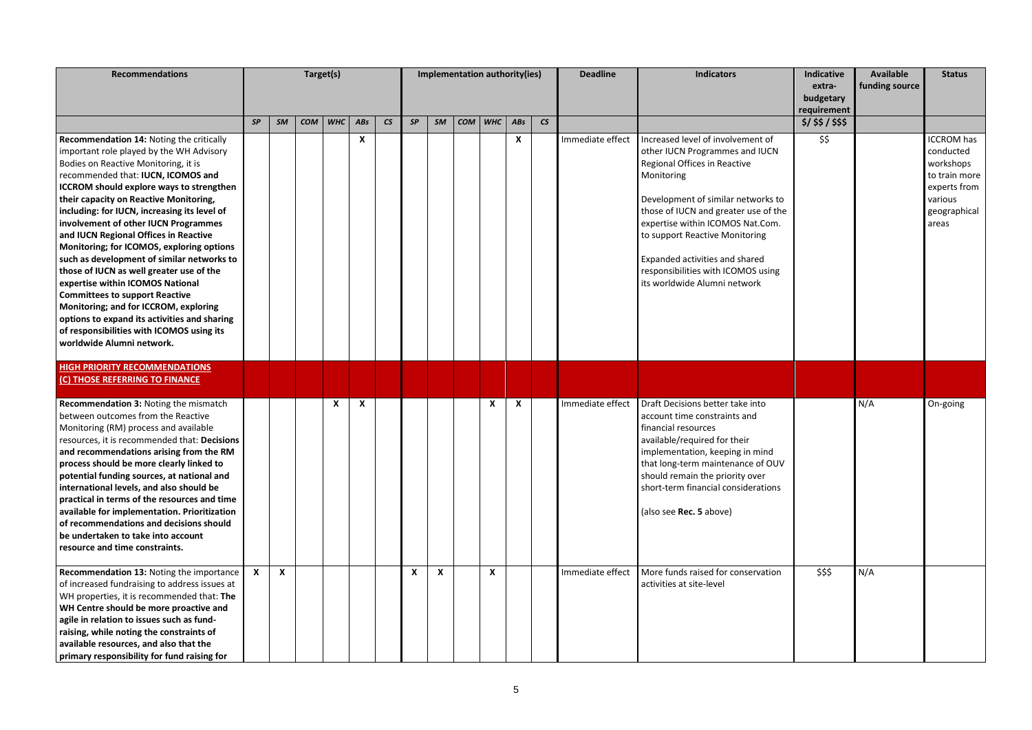| <b>Recommendations</b>                                                                                                                                                                                                                                                                                                                                                                                                                                                                                                                                                                                                                                                                                                                                                           |                  |    |     | Target(s)                 |     |                          |                  |    | Implementation authority(ies) |                  |     |                          | <b>Deadline</b>  | <b>Indicators</b>                                                                                                                                                                                                                                                                                                                                                             | Indicative         | Available      | <b>Status</b>                                                                                                    |
|----------------------------------------------------------------------------------------------------------------------------------------------------------------------------------------------------------------------------------------------------------------------------------------------------------------------------------------------------------------------------------------------------------------------------------------------------------------------------------------------------------------------------------------------------------------------------------------------------------------------------------------------------------------------------------------------------------------------------------------------------------------------------------|------------------|----|-----|---------------------------|-----|--------------------------|------------------|----|-------------------------------|------------------|-----|--------------------------|------------------|-------------------------------------------------------------------------------------------------------------------------------------------------------------------------------------------------------------------------------------------------------------------------------------------------------------------------------------------------------------------------------|--------------------|----------------|------------------------------------------------------------------------------------------------------------------|
|                                                                                                                                                                                                                                                                                                                                                                                                                                                                                                                                                                                                                                                                                                                                                                                  |                  |    |     |                           |     |                          |                  |    |                               |                  |     |                          |                  |                                                                                                                                                                                                                                                                                                                                                                               | extra-             | funding source |                                                                                                                  |
|                                                                                                                                                                                                                                                                                                                                                                                                                                                                                                                                                                                                                                                                                                                                                                                  |                  |    |     |                           |     |                          |                  |    |                               |                  |     |                          |                  |                                                                                                                                                                                                                                                                                                                                                                               | budgetary          |                |                                                                                                                  |
|                                                                                                                                                                                                                                                                                                                                                                                                                                                                                                                                                                                                                                                                                                                                                                                  | SP               | SM | COM |                           | ABs | $\mathsf{CS}\phantom{0}$ | SP               | SM | COM <sup>1</sup>              | <b>WHC</b>       | ABs | $\mathsf{CS}\phantom{0}$ |                  |                                                                                                                                                                                                                                                                                                                                                                               | requirement        |                |                                                                                                                  |
|                                                                                                                                                                                                                                                                                                                                                                                                                                                                                                                                                                                                                                                                                                                                                                                  |                  |    |     | WHC                       |     |                          |                  |    |                               |                  |     |                          |                  |                                                                                                                                                                                                                                                                                                                                                                               | $$1$ \$\$ / \$\$\$ |                |                                                                                                                  |
| Recommendation 14: Noting the critically<br>important role played by the WH Advisory<br>Bodies on Reactive Monitoring, it is<br>recommended that: IUCN, ICOMOS and<br>ICCROM should explore ways to strengthen<br>their capacity on Reactive Monitoring,<br>including: for IUCN, increasing its level of<br>involvement of other IUCN Programmes<br>and IUCN Regional Offices in Reactive<br>Monitoring; for ICOMOS, exploring options<br>such as development of similar networks to<br>those of IUCN as well greater use of the<br>expertise within ICOMOS National<br><b>Committees to support Reactive</b><br>Monitoring; and for ICCROM, exploring<br>options to expand its activities and sharing<br>of responsibilities with ICOMOS using its<br>worldwide Alumni network. |                  |    |     |                           | X   |                          |                  |    |                               |                  | X   |                          | Immediate effect | Increased level of involvement of<br>other IUCN Programmes and IUCN<br>Regional Offices in Reactive<br>Monitoring<br>Development of similar networks to<br>those of IUCN and greater use of the<br>expertise within ICOMOS Nat.Com.<br>to support Reactive Monitoring<br>Expanded activities and shared<br>responsibilities with ICOMOS using<br>its worldwide Alumni network | \$\$               |                | <b>ICCROM has</b><br>conducted<br>workshops<br>to train more<br>experts from<br>various<br>geographical<br>areas |
| <b>HIGH PRIORITY RECOMMENDATIONS</b><br>(C) THOSE REFERRING TO FINANCE                                                                                                                                                                                                                                                                                                                                                                                                                                                                                                                                                                                                                                                                                                           |                  |    |     |                           |     |                          |                  |    |                               |                  |     |                          |                  |                                                                                                                                                                                                                                                                                                                                                                               |                    |                |                                                                                                                  |
| Recommendation 3: Noting the mismatch<br>between outcomes from the Reactive<br>Monitoring (RM) process and available<br>resources, it is recommended that: Decisions<br>and recommendations arising from the RM<br>process should be more clearly linked to<br>potential funding sources, at national and<br>international levels, and also should be<br>practical in terms of the resources and time<br>available for implementation. Prioritization<br>of recommendations and decisions should<br>be undertaken to take into account<br>resource and time constraints.                                                                                                                                                                                                         |                  |    |     | $\boldsymbol{\mathsf{x}}$ | X   |                          |                  |    |                               | x                | X   |                          | Immediate effect | Draft Decisions better take into<br>account time constraints and<br>financial resources<br>available/required for their<br>implementation, keeping in mind<br>that long-term maintenance of OUV<br>should remain the priority over<br>short-term financial considerations<br>(also see Rec. 5 above)                                                                          |                    | N/A            | On-going                                                                                                         |
| Recommendation 13: Noting the importance<br>of increased fundraising to address issues at<br>WH properties, it is recommended that: The<br>WH Centre should be more proactive and<br>agile in relation to issues such as fund-<br>raising, while noting the constraints of<br>available resources, and also that the<br>primary responsibility for fund raising for                                                                                                                                                                                                                                                                                                                                                                                                              | $\boldsymbol{x}$ | X  |     |                           |     |                          | $\boldsymbol{x}$ | X  |                               | $\boldsymbol{x}$ |     |                          | Immediate effect | More funds raised for conservation<br>activities at site-level                                                                                                                                                                                                                                                                                                                | \$\$\$             | N/A            |                                                                                                                  |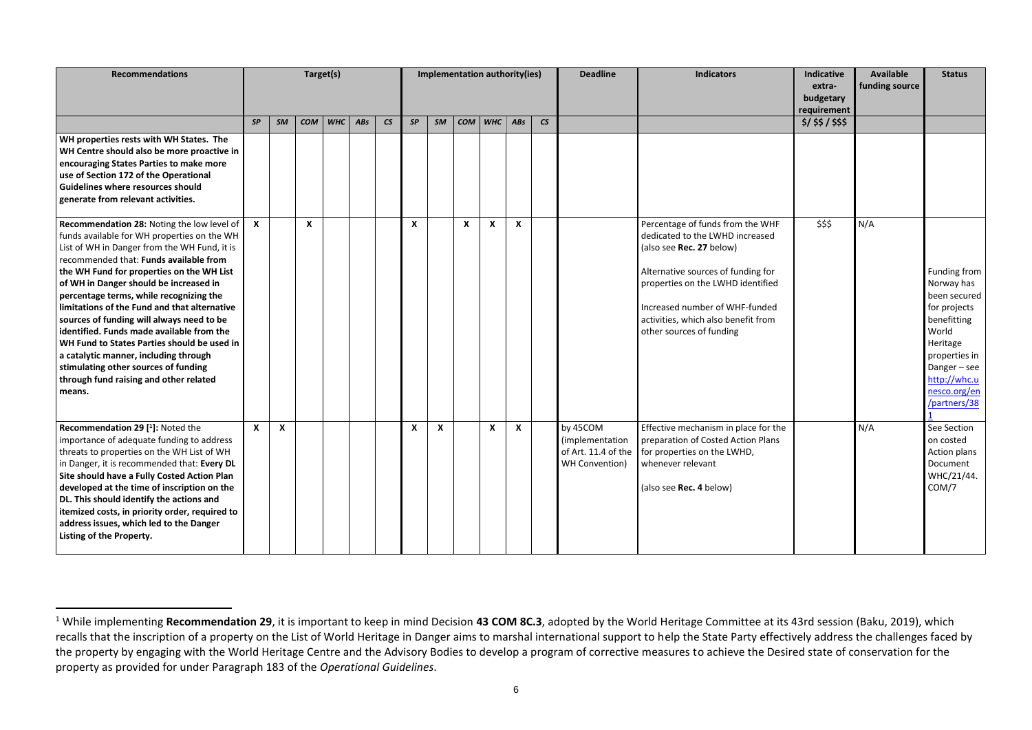| <b>Recommendations</b>                                                                                                                                                                                                                                                                                                                                                                                                                                                                                                                                                                                                                              |              |           |            | Target(s)  |                 |               |    |                           | Implementation authority(ies) |            |                           |                          | <b>Deadline</b>                                                             | Indicators                                                                                                                                                                                                                                                                      | <b>Indicative</b><br>extra-<br>budgetary<br>requirement | Available<br>funding source | <b>Status</b>                                                                                                                                                                 |
|-----------------------------------------------------------------------------------------------------------------------------------------------------------------------------------------------------------------------------------------------------------------------------------------------------------------------------------------------------------------------------------------------------------------------------------------------------------------------------------------------------------------------------------------------------------------------------------------------------------------------------------------------------|--------------|-----------|------------|------------|-----------------|---------------|----|---------------------------|-------------------------------|------------|---------------------------|--------------------------|-----------------------------------------------------------------------------|---------------------------------------------------------------------------------------------------------------------------------------------------------------------------------------------------------------------------------------------------------------------------------|---------------------------------------------------------|-----------------------------|-------------------------------------------------------------------------------------------------------------------------------------------------------------------------------|
|                                                                                                                                                                                                                                                                                                                                                                                                                                                                                                                                                                                                                                                     | <b>SP</b>    | <b>SM</b> | <b>COM</b> | <b>WHC</b> | AB <sub>S</sub> | $\mathsf{CS}$ | SP | <b>SM</b>                 | <b>COM</b>                    | <b>WHC</b> | AB <sub>5</sub>           | $\overline{\mathcal{C}}$ |                                                                             |                                                                                                                                                                                                                                                                                 | $$1$ \$\$ / \$\$\$                                      |                             |                                                                                                                                                                               |
| WH properties rests with WH States. The<br>WH Centre should also be more proactive in<br>encouraging States Parties to make more<br>use of Section 172 of the Operational<br>Guidelines where resources should<br>generate from relevant activities.                                                                                                                                                                                                                                                                                                                                                                                                |              |           |            |            |                 |               |    |                           |                               |            |                           |                          |                                                                             |                                                                                                                                                                                                                                                                                 |                                                         |                             |                                                                                                                                                                               |
| Recommendation 28: Noting the low level of<br>funds available for WH properties on the WH<br>List of WH in Danger from the WH Fund, it is<br>recommended that: Funds available from<br>the WH Fund for properties on the WH List<br>of WH in Danger should be increased in<br>percentage terms, while recognizing the<br>limitations of the Fund and that alternative<br>sources of funding will always need to be<br>identified. Funds made available from the<br>WH Fund to States Parties should be used in<br>a catalytic manner, including through<br>stimulating other sources of funding<br>through fund raising and other related<br>means. | $\mathsf{x}$ |           | X          |            |                 |               | X  |                           | x                             | x          | $\boldsymbol{x}$          |                          |                                                                             | Percentage of funds from the WHF<br>dedicated to the LWHD increased<br>(also see Rec. 27 below)<br>Alternative sources of funding for<br>properties on the LWHD identified<br>Increased number of WHF-funded<br>activities, which also benefit from<br>other sources of funding | \$\$\$                                                  | N/A                         | Funding from<br>Norway has<br>been secured<br>for projects<br>benefitting<br>World<br>Heritage<br>properties in<br>Danger-see<br>http://whc.u<br>nesco.org/en<br>/partners/38 |
| Recommendation 29 [1]: Noted the<br>importance of adequate funding to address<br>threats to properties on the WH List of WH<br>in Danger, it is recommended that: Every DL<br>Site should have a Fully Costed Action Plan<br>developed at the time of inscription on the<br>DL. This should identify the actions and<br>itemized costs, in priority order, required to<br>address issues, which led to the Danger<br>Listing of the Property.                                                                                                                                                                                                       | $\mathbf{x}$ | X         |            |            |                 |               | X  | $\boldsymbol{\mathsf{x}}$ |                               | X          | $\boldsymbol{\mathsf{x}}$ |                          | by 45COM<br>(implementation<br>of Art. 11.4 of the<br><b>WH Convention)</b> | Effective mechanism in place for the<br>preparation of Costed Action Plans<br>for properties on the LWHD,<br>whenever relevant<br>(also see Rec. 4 below)                                                                                                                       |                                                         | N/A                         | See Section<br>on costed<br>Action plans<br>Document<br>WHC/21/44.<br>COM/7                                                                                                   |

<sup>1</sup> While implementing **Recommendation 29**, it is important to keep in mind Decision **43 COM 8C.3**, adopted by the World Heritage Committee at its 43rd session (Baku, 2019), which recalls that the inscription of a property on the List of World Heritage in Danger aims to marshal international support to help the State Party effectively address the challenges faced by the property by engaging with the World Heritage Centre and the Advisory Bodies to develop a program of corrective measures to achieve the Desired state of conservation for the property as provided for under Paragraph 183 of the *Operational Guidelines*.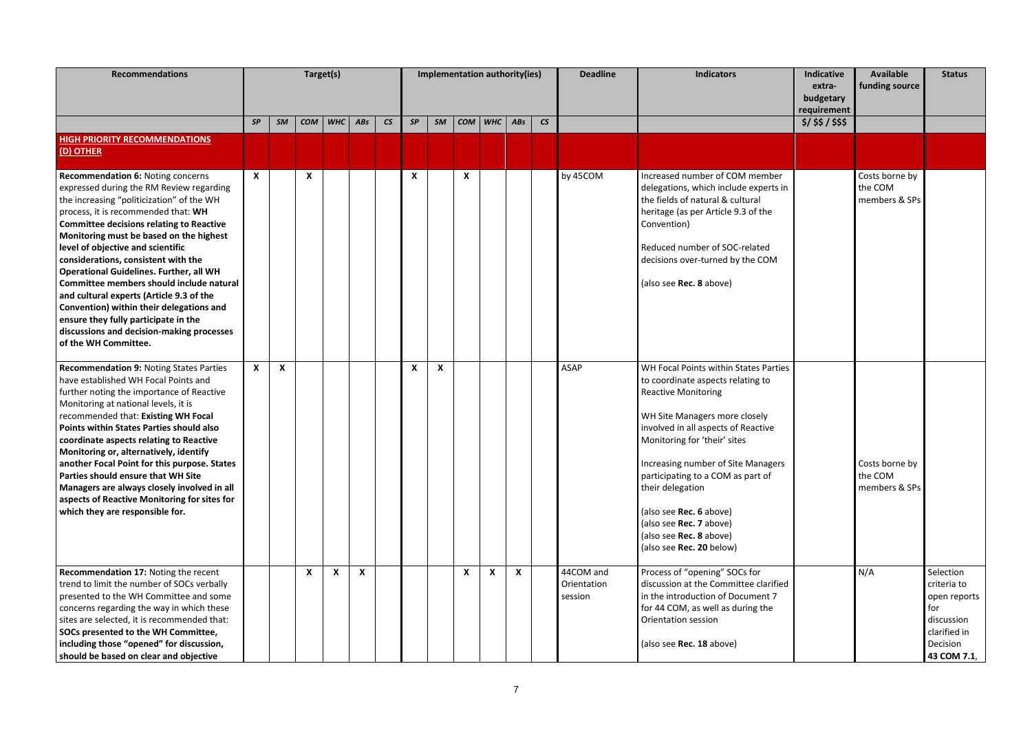| <b>Recommendations</b>                                                                                                                                                                                                                                                                                                                                                                                                                                                                                                                                                                                                                         |                  |                           |            | Target(s) |     |                        |                  |    |     | Implementation authority(ies) |     |               | <b>Deadline</b>                     | <b>Indicators</b>                                                                                                                                                                                                                                                                                                                                                                                                            | Indicative<br>extra-<br>budgetary<br>requirement | Available<br>funding source                | <b>Status</b>                                                                                            |
|------------------------------------------------------------------------------------------------------------------------------------------------------------------------------------------------------------------------------------------------------------------------------------------------------------------------------------------------------------------------------------------------------------------------------------------------------------------------------------------------------------------------------------------------------------------------------------------------------------------------------------------------|------------------|---------------------------|------------|-----------|-----|------------------------|------------------|----|-----|-------------------------------|-----|---------------|-------------------------------------|------------------------------------------------------------------------------------------------------------------------------------------------------------------------------------------------------------------------------------------------------------------------------------------------------------------------------------------------------------------------------------------------------------------------------|--------------------------------------------------|--------------------------------------------|----------------------------------------------------------------------------------------------------------|
|                                                                                                                                                                                                                                                                                                                                                                                                                                                                                                                                                                                                                                                | SP               | <b>SM</b>                 | <b>COM</b> | WHC       | ABs | $\mathsf{c}\mathsf{s}$ | SP               | SM | COM | <b>WHC</b>                    | ABs | $\mathcal{C}$ |                                     |                                                                                                                                                                                                                                                                                                                                                                                                                              | $$1$ \$\$ / \$\$\$                               |                                            |                                                                                                          |
| <b>HIGH PRIORITY RECOMMENDATIONS</b><br>(D) OTHER                                                                                                                                                                                                                                                                                                                                                                                                                                                                                                                                                                                              |                  |                           |            |           |     |                        |                  |    |     |                               |     |               |                                     |                                                                                                                                                                                                                                                                                                                                                                                                                              |                                                  |                                            |                                                                                                          |
| <b>Recommendation 6: Noting concerns</b><br>expressed during the RM Review regarding<br>the increasing "politicization" of the WH<br>process, it is recommended that: WH<br><b>Committee decisions relating to Reactive</b><br>Monitoring must be based on the highest<br>level of objective and scientific<br>considerations, consistent with the<br>Operational Guidelines. Further, all WH<br>Committee members should include natural<br>and cultural experts (Article 9.3 of the<br>Convention) within their delegations and<br>ensure they fully participate in the<br>discussions and decision-making processes<br>of the WH Committee. | $\mathbf{x}$     |                           | X          |           |     |                        | x                |    | X   |                               |     |               | by 45COM                            | Increased number of COM member<br>delegations, which include experts in<br>the fields of natural & cultural<br>heritage (as per Article 9.3 of the<br>Convention)<br>Reduced number of SOC-related<br>decisions over-turned by the COM<br>(also see Rec. 8 above)                                                                                                                                                            |                                                  | Costs borne by<br>the COM<br>members & SPs |                                                                                                          |
| <b>Recommendation 9: Noting States Parties</b><br>have established WH Focal Points and<br>further noting the importance of Reactive<br>Monitoring at national levels, it is<br>recommended that: Existing WH Focal<br>Points within States Parties should also<br>coordinate aspects relating to Reactive<br>Monitoring or, alternatively, identify<br>another Focal Point for this purpose. States<br>Parties should ensure that WH Site<br>Managers are always closely involved in all<br>aspects of Reactive Monitoring for sites for<br>which they are responsible for.                                                                    | $\boldsymbol{x}$ | $\boldsymbol{\mathsf{x}}$ |            |           |     |                        | $\boldsymbol{x}$ | X  |     |                               |     |               | <b>ASAP</b>                         | WH Focal Points within States Parties<br>to coordinate aspects relating to<br><b>Reactive Monitoring</b><br>WH Site Managers more closely<br>involved in all aspects of Reactive<br>Monitoring for 'their' sites<br>Increasing number of Site Managers<br>participating to a COM as part of<br>their delegation<br>(also see Rec. 6 above)<br>(also see Rec. 7 above)<br>(also see Rec. 8 above)<br>(also see Rec. 20 below) |                                                  | Costs borne by<br>the COM<br>members & SPs |                                                                                                          |
| Recommendation 17: Noting the recent<br>trend to limit the number of SOCs verbally<br>presented to the WH Committee and some<br>concerns regarding the way in which these<br>sites are selected, it is recommended that:<br>SOCs presented to the WH Committee,<br>including those "opened" for discussion,<br>should be based on clear and objective                                                                                                                                                                                                                                                                                          |                  |                           | X          | X         | X   |                        |                  |    | X   | X                             | X   |               | 44COM and<br>Orientation<br>session | Process of "opening" SOCs for<br>discussion at the Committee clarified<br>in the introduction of Document 7<br>for 44 COM, as well as during the<br>Orientation session<br>(also see Rec. 18 above)                                                                                                                                                                                                                          |                                                  | N/A                                        | Selection<br>criteria to<br>open reports<br>for<br>discussion<br>clarified in<br>Decision<br>43 COM 7.1, |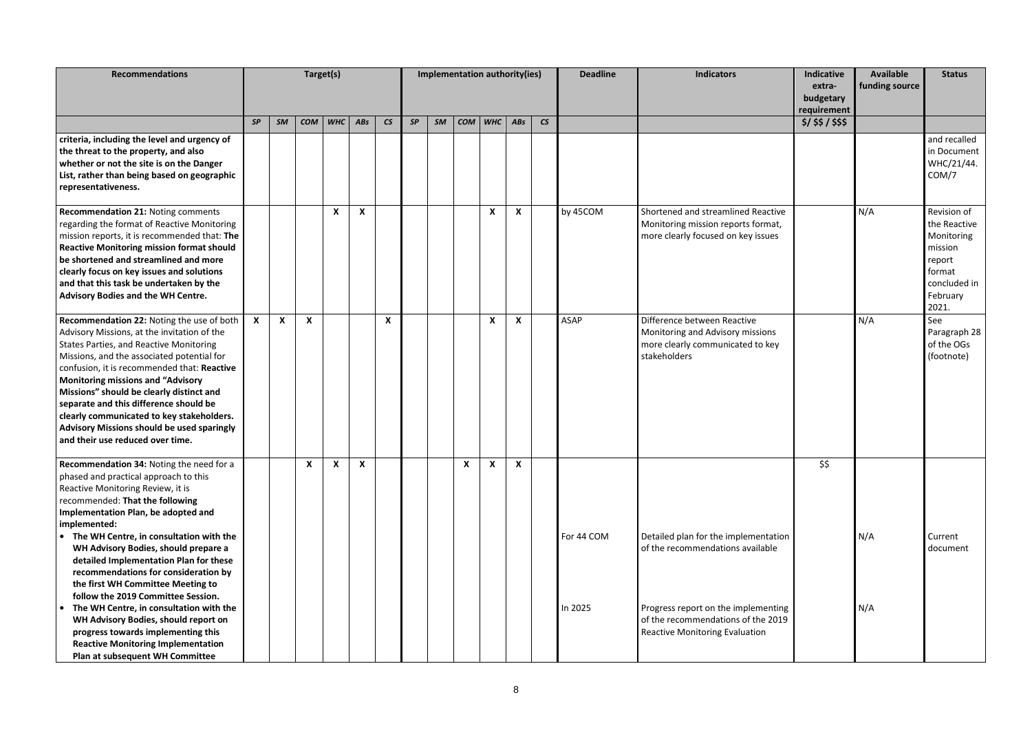| <b>Recommendations</b>                                                       |              |                  |            | Target(s) |              |                          |    |    | Implementation authority(ies) |            |                           |                         | <b>Deadline</b> | <b>Indicators</b>                     | Indicative                        | <b>Available</b> | <b>Status</b> |
|------------------------------------------------------------------------------|--------------|------------------|------------|-----------|--------------|--------------------------|----|----|-------------------------------|------------|---------------------------|-------------------------|-----------------|---------------------------------------|-----------------------------------|------------------|---------------|
|                                                                              |              |                  |            |           |              |                          |    |    |                               |            |                           |                         |                 |                                       | extra-                            | funding source   |               |
|                                                                              |              |                  |            |           |              |                          |    |    |                               |            |                           |                         |                 |                                       | budgetary                         |                  |               |
|                                                                              | SP           | SM               | <b>COM</b> | WHC       | ABs          | $\mathsf{CS}\phantom{0}$ | SP | SM | <b>COM</b>                    | <b>WHC</b> | AB <sub>S</sub>           | $\overline{\mathsf{c}}$ |                 |                                       | requirement<br>$$1$ \$\$ / \$\$\$ |                  |               |
| criteria, including the level and urgency of                                 |              |                  |            |           |              |                          |    |    |                               |            |                           |                         |                 |                                       |                                   |                  | and recalled  |
| the threat to the property, and also                                         |              |                  |            |           |              |                          |    |    |                               |            |                           |                         |                 |                                       |                                   |                  | in Document   |
| whether or not the site is on the Danger                                     |              |                  |            |           |              |                          |    |    |                               |            |                           |                         |                 |                                       |                                   |                  | WHC/21/44.    |
| List, rather than being based on geographic                                  |              |                  |            |           |              |                          |    |    |                               |            |                           |                         |                 |                                       |                                   |                  | COM/7         |
| representativeness.                                                          |              |                  |            |           |              |                          |    |    |                               |            |                           |                         |                 |                                       |                                   |                  |               |
| Recommendation 21: Noting comments                                           |              |                  |            | X         | X            |                          |    |    |                               | X          | X                         |                         | by 45COM        | Shortened and streamlined Reactive    |                                   | N/A              | Revision of   |
| regarding the format of Reactive Monitoring                                  |              |                  |            |           |              |                          |    |    |                               |            |                           |                         |                 | Monitoring mission reports format,    |                                   |                  | the Reactive  |
| mission reports, it is recommended that: The                                 |              |                  |            |           |              |                          |    |    |                               |            |                           |                         |                 | more clearly focused on key issues    |                                   |                  | Monitoring    |
| <b>Reactive Monitoring mission format should</b>                             |              |                  |            |           |              |                          |    |    |                               |            |                           |                         |                 |                                       |                                   |                  | mission       |
| be shortened and streamlined and more                                        |              |                  |            |           |              |                          |    |    |                               |            |                           |                         |                 |                                       |                                   |                  | report        |
| clearly focus on key issues and solutions                                    |              |                  |            |           |              |                          |    |    |                               |            |                           |                         |                 |                                       |                                   |                  | format        |
| and that this task be undertaken by the                                      |              |                  |            |           |              |                          |    |    |                               |            |                           |                         |                 |                                       |                                   |                  | concluded in  |
| Advisory Bodies and the WH Centre.                                           |              |                  |            |           |              |                          |    |    |                               |            |                           |                         |                 |                                       |                                   |                  | February      |
| Recommendation 22: Noting the use of both                                    | $\mathbf{x}$ | $\boldsymbol{x}$ | X          |           |              | X                        |    |    |                               | X          | $\pmb{\chi}$              |                         | <b>ASAP</b>     | Difference between Reactive           |                                   | N/A              | 2021.<br>See  |
| Advisory Missions, at the invitation of the                                  |              |                  |            |           |              |                          |    |    |                               |            |                           |                         |                 | Monitoring and Advisory missions      |                                   |                  | Paragraph 28  |
| <b>States Parties, and Reactive Monitoring</b>                               |              |                  |            |           |              |                          |    |    |                               |            |                           |                         |                 | more clearly communicated to key      |                                   |                  | of the OGs    |
| Missions, and the associated potential for                                   |              |                  |            |           |              |                          |    |    |                               |            |                           |                         |                 | stakeholders                          |                                   |                  | (footnote)    |
| confusion, it is recommended that: Reactive                                  |              |                  |            |           |              |                          |    |    |                               |            |                           |                         |                 |                                       |                                   |                  |               |
| <b>Monitoring missions and "Advisory</b>                                     |              |                  |            |           |              |                          |    |    |                               |            |                           |                         |                 |                                       |                                   |                  |               |
| Missions" should be clearly distinct and                                     |              |                  |            |           |              |                          |    |    |                               |            |                           |                         |                 |                                       |                                   |                  |               |
| separate and this difference should be                                       |              |                  |            |           |              |                          |    |    |                               |            |                           |                         |                 |                                       |                                   |                  |               |
| clearly communicated to key stakeholders.                                    |              |                  |            |           |              |                          |    |    |                               |            |                           |                         |                 |                                       |                                   |                  |               |
| Advisory Missions should be used sparingly                                   |              |                  |            |           |              |                          |    |    |                               |            |                           |                         |                 |                                       |                                   |                  |               |
| and their use reduced over time.                                             |              |                  |            |           |              |                          |    |    |                               |            |                           |                         |                 |                                       |                                   |                  |               |
| Recommendation 34: Noting the need for a                                     |              |                  | X          | X         | $\pmb{\chi}$ |                          |    |    | X                             | X          | $\boldsymbol{\mathsf{x}}$ |                         |                 |                                       | \$\$                              |                  |               |
| phased and practical approach to this                                        |              |                  |            |           |              |                          |    |    |                               |            |                           |                         |                 |                                       |                                   |                  |               |
| Reactive Monitoring Review, it is                                            |              |                  |            |           |              |                          |    |    |                               |            |                           |                         |                 |                                       |                                   |                  |               |
| recommended: That the following                                              |              |                  |            |           |              |                          |    |    |                               |            |                           |                         |                 |                                       |                                   |                  |               |
| Implementation Plan, be adopted and                                          |              |                  |            |           |              |                          |    |    |                               |            |                           |                         |                 |                                       |                                   |                  |               |
| implemented:                                                                 |              |                  |            |           |              |                          |    |    |                               |            |                           |                         |                 |                                       |                                   |                  |               |
| • The WH Centre, in consultation with the                                    |              |                  |            |           |              |                          |    |    |                               |            |                           |                         | For 44 COM      | Detailed plan for the implementation  |                                   | N/A              | Current       |
| WH Advisory Bodies, should prepare a                                         |              |                  |            |           |              |                          |    |    |                               |            |                           |                         |                 | of the recommendations available      |                                   |                  | document      |
| detailed Implementation Plan for these                                       |              |                  |            |           |              |                          |    |    |                               |            |                           |                         |                 |                                       |                                   |                  |               |
| recommendations for consideration by                                         |              |                  |            |           |              |                          |    |    |                               |            |                           |                         |                 |                                       |                                   |                  |               |
| the first WH Committee Meeting to                                            |              |                  |            |           |              |                          |    |    |                               |            |                           |                         |                 |                                       |                                   |                  |               |
| follow the 2019 Committee Session.                                           |              |                  |            |           |              |                          |    |    |                               |            |                           |                         |                 |                                       |                                   |                  |               |
| The WH Centre, in consultation with the                                      |              |                  |            |           |              |                          |    |    |                               |            |                           |                         | In 2025         | Progress report on the implementing   |                                   | N/A              |               |
| WH Advisory Bodies, should report on                                         |              |                  |            |           |              |                          |    |    |                               |            |                           |                         |                 | of the recommendations of the 2019    |                                   |                  |               |
| progress towards implementing this                                           |              |                  |            |           |              |                          |    |    |                               |            |                           |                         |                 | <b>Reactive Monitoring Evaluation</b> |                                   |                  |               |
| <b>Reactive Monitoring Implementation</b><br>Plan at subsequent WH Committee |              |                  |            |           |              |                          |    |    |                               |            |                           |                         |                 |                                       |                                   |                  |               |
|                                                                              |              |                  |            |           |              |                          |    |    |                               |            |                           |                         |                 |                                       |                                   |                  |               |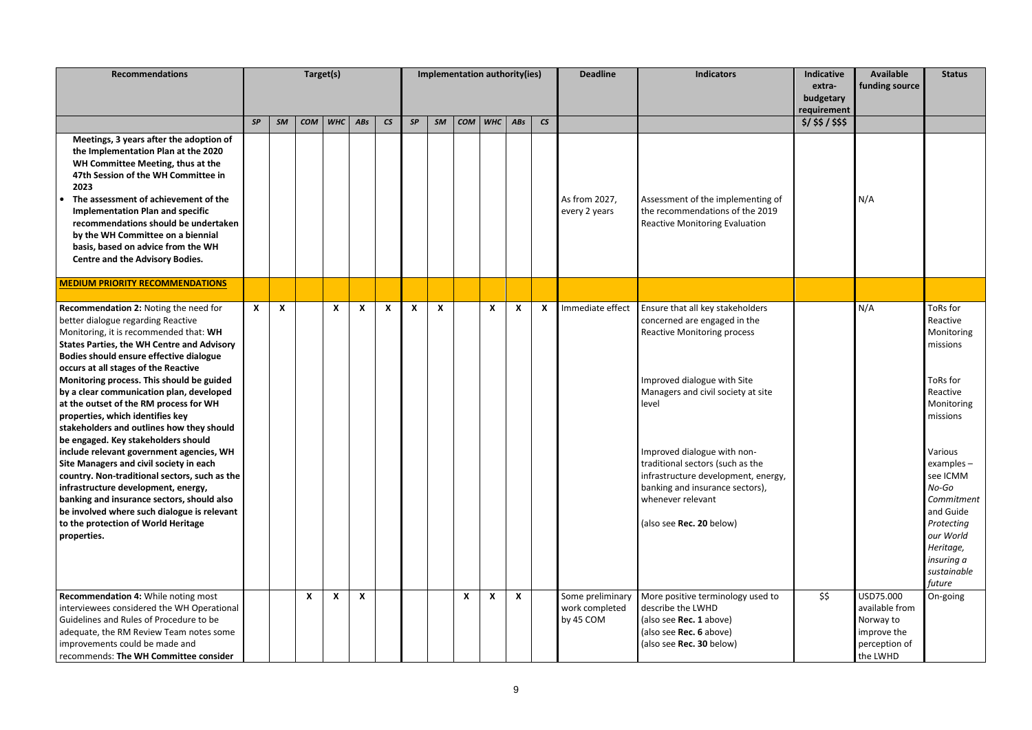| <b>Recommendations</b>                                                                                                                                                                                                                                                                                                                                                                                                                                                                                                                                                                                                                                                                                                                                                                                                                                     |                  |    |     | Target(s)    |     |                          |                           |    | Implementation authority(ies) |                  |     |                          | <b>Deadline</b>                                 | <b>Indicators</b>                                                                                                                                                                                                                                                                                                                                                                  | Indicative<br>extra-<br>budgetary | <b>Available</b><br>funding source                                                   | <b>Status</b>                                                                                                                                                                                                                                           |
|------------------------------------------------------------------------------------------------------------------------------------------------------------------------------------------------------------------------------------------------------------------------------------------------------------------------------------------------------------------------------------------------------------------------------------------------------------------------------------------------------------------------------------------------------------------------------------------------------------------------------------------------------------------------------------------------------------------------------------------------------------------------------------------------------------------------------------------------------------|------------------|----|-----|--------------|-----|--------------------------|---------------------------|----|-------------------------------|------------------|-----|--------------------------|-------------------------------------------------|------------------------------------------------------------------------------------------------------------------------------------------------------------------------------------------------------------------------------------------------------------------------------------------------------------------------------------------------------------------------------------|-----------------------------------|--------------------------------------------------------------------------------------|---------------------------------------------------------------------------------------------------------------------------------------------------------------------------------------------------------------------------------------------------------|
|                                                                                                                                                                                                                                                                                                                                                                                                                                                                                                                                                                                                                                                                                                                                                                                                                                                            |                  |    |     |              |     |                          |                           |    |                               |                  |     |                          |                                                 |                                                                                                                                                                                                                                                                                                                                                                                    | requirement                       |                                                                                      |                                                                                                                                                                                                                                                         |
|                                                                                                                                                                                                                                                                                                                                                                                                                                                                                                                                                                                                                                                                                                                                                                                                                                                            | SP               | SM | COM | WHC          | ABs | $\mathsf{CS}\phantom{0}$ | SP                        | SM | <b>COM</b>                    | WHC              | ABs | $\mathsf{CS}\phantom{0}$ |                                                 |                                                                                                                                                                                                                                                                                                                                                                                    | $$1$ \$\$ $1$ \$\$\$              |                                                                                      |                                                                                                                                                                                                                                                         |
| Meetings, 3 years after the adoption of<br>the Implementation Plan at the 2020<br>WH Committee Meeting, thus at the<br>47th Session of the WH Committee in<br>2023<br>The assessment of achievement of the<br><b>Implementation Plan and specific</b><br>recommendations should be undertaken<br>by the WH Committee on a biennial<br>basis, based on advice from the WH<br>Centre and the Advisory Bodies.                                                                                                                                                                                                                                                                                                                                                                                                                                                |                  |    |     |              |     |                          |                           |    |                               |                  |     |                          | As from 2027,<br>every 2 years                  | Assessment of the implementing of<br>the recommendations of the 2019<br><b>Reactive Monitoring Evaluation</b>                                                                                                                                                                                                                                                                      |                                   | N/A                                                                                  |                                                                                                                                                                                                                                                         |
| <b>MEDIUM PRIORITY RECOMMENDATIONS</b>                                                                                                                                                                                                                                                                                                                                                                                                                                                                                                                                                                                                                                                                                                                                                                                                                     |                  |    |     |              |     |                          |                           |    |                               |                  |     |                          |                                                 |                                                                                                                                                                                                                                                                                                                                                                                    |                                   |                                                                                      |                                                                                                                                                                                                                                                         |
| Recommendation 2: Noting the need for<br>better dialogue regarding Reactive<br>Monitoring, it is recommended that: WH<br><b>States Parties, the WH Centre and Advisory</b><br>Bodies should ensure effective dialogue<br>occurs at all stages of the Reactive<br>Monitoring process. This should be guided<br>by a clear communication plan, developed<br>at the outset of the RM process for WH<br>properties, which identifies key<br>stakeholders and outlines how they should<br>be engaged. Key stakeholders should<br>include relevant government agencies, WH<br>Site Managers and civil society in each<br>country. Non-traditional sectors, such as the<br>infrastructure development, energy,<br>banking and insurance sectors, should also<br>be involved where such dialogue is relevant<br>to the protection of World Heritage<br>properties. | $\boldsymbol{x}$ | X  |     | X            | X   | X                        | $\boldsymbol{\mathsf{x}}$ | X  |                               | X                | X   | X                        | Immediate effect                                | Ensure that all key stakeholders<br>concerned are engaged in the<br><b>Reactive Monitoring process</b><br>Improved dialogue with Site<br>Managers and civil society at site<br>level<br>Improved dialogue with non-<br>traditional sectors (such as the<br>infrastructure development, energy,<br>banking and insurance sectors),<br>whenever relevant<br>(also see Rec. 20 below) |                                   | N/A                                                                                  | ToRs for<br>Reactive<br>Monitoring<br>missions<br>ToRs for<br>Reactive<br>Monitoring<br>missions<br>Various<br>examples-<br>see ICMM<br>No-Go<br>Commitment<br>and Guide<br>Protecting<br>our World<br>Heritage,<br>insuring a<br>sustainable<br>future |
| Recommendation 4: While noting most<br>interviewees considered the WH Operational<br>Guidelines and Rules of Procedure to be<br>adequate, the RM Review Team notes some<br>improvements could be made and<br>recommends: The WH Committee consider                                                                                                                                                                                                                                                                                                                                                                                                                                                                                                                                                                                                         |                  |    | X   | $\mathbf{x}$ | X   |                          |                           |    | X                             | $\boldsymbol{x}$ | X   |                          | Some preliminary<br>work completed<br>by 45 COM | More positive terminology used to<br>describe the LWHD<br>(also see Rec. 1 above)<br>(also see Rec. 6 above)<br>(also see Rec. 30 below)                                                                                                                                                                                                                                           | \$\$                              | USD75.000<br>available from<br>Norway to<br>improve the<br>perception of<br>the LWHD | On-going                                                                                                                                                                                                                                                |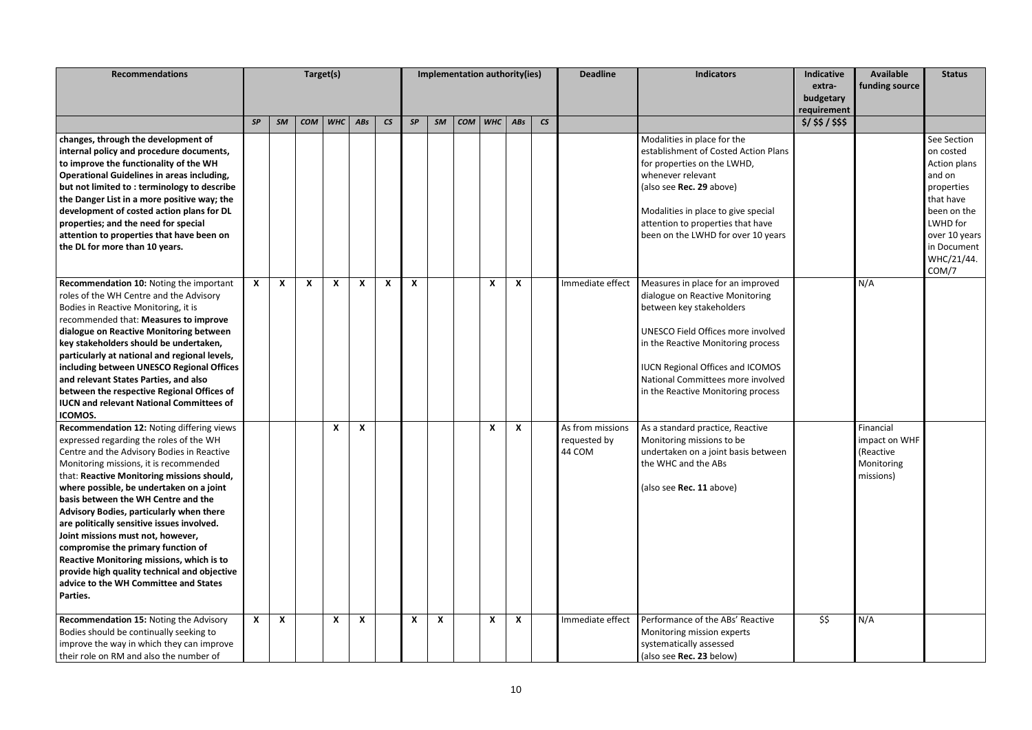| funding source<br>extra-<br>budgetary<br>requirement<br>WHC<br><b>WHC</b><br>$\mathsf{CS}$<br>SP<br><b>SM</b><br><b>COM</b><br>ABs<br>$\mathsf{CS}$<br>SP<br>SM<br><b>COM</b><br>AB <sub>5</sub><br>$$1$ \$\$ $1$ \$\$\$<br>changes, through the development of<br>Modalities in place for the<br>See Section<br>on costed<br>internal policy and procedure documents,<br>establishment of Costed Action Plans<br>to improve the functionality of the WH<br>for properties on the LWHD,<br>Action plans<br>Operational Guidelines in areas including,<br>whenever relevant<br>and on<br>but not limited to: terminology to describe<br>(also see Rec. 29 above)<br>properties<br>the Danger List in a more positive way; the<br>that have<br>development of costed action plans for DL<br>Modalities in place to give special<br>been on the<br>LWHD for<br>properties; and the need for special<br>attention to properties that have<br>attention to properties that have been on<br>been on the LWHD for over 10 years<br>over 10 years<br>in Document<br>the DL for more than 10 years.<br>WHC/21/44.<br>COM/7<br>X<br>$\mathbf{x}$<br>N/A<br>Recommendation 10: Noting the important<br>$\mathbf{x}$<br>$\boldsymbol{\mathsf{x}}$<br>$\boldsymbol{x}$<br>X<br>$\mathsf{x}$<br>X<br>X<br>Immediate effect<br>Measures in place for an improved<br>roles of the WH Centre and the Advisory<br>dialogue on Reactive Monitoring<br>Bodies in Reactive Monitoring, it is<br>between key stakeholders<br>recommended that: Measures to improve<br>dialogue on Reactive Monitoring between<br>UNESCO Field Offices more involved<br>key stakeholders should be undertaken,<br>in the Reactive Monitoring process<br>particularly at national and regional levels,<br>including between UNESCO Regional Offices<br><b>IUCN Regional Offices and ICOMOS</b><br>and relevant States Parties, and also<br>National Committees more involved<br>between the respective Regional Offices of<br>in the Reactive Monitoring process<br><b>IUCN and relevant National Committees of</b><br>ICOMOS.<br>X<br>$\boldsymbol{x}$<br>Recommendation 12: Noting differing views<br>X<br>As from missions<br>As a standard practice, Reactive<br>Financial<br>X<br>expressed regarding the roles of the WH<br>requested by<br>Monitoring missions to be<br>impact on WHF<br>44 COM<br>undertaken on a joint basis between<br>(Reactive<br>Centre and the Advisory Bodies in Reactive<br>the WHC and the ABs<br>Monitoring<br>Monitoring missions, it is recommended<br>that: Reactive Monitoring missions should,<br>missions)<br>where possible, be undertaken on a joint<br>(also see Rec. 11 above)<br>basis between the WH Centre and the<br>Advisory Bodies, particularly when there<br>are politically sensitive issues involved.<br>Joint missions must not, however,<br>compromise the primary function of<br>Reactive Monitoring missions, which is to<br>provide high quality technical and objective<br>advice to the WH Committee and States | <b>Recommendations</b>                  |  | Target(s) |  |  | Implementation authority(ies) |  | <b>Deadline</b> | <b>Indicators</b> | Indicative | Available | <b>Status</b> |
|--------------------------------------------------------------------------------------------------------------------------------------------------------------------------------------------------------------------------------------------------------------------------------------------------------------------------------------------------------------------------------------------------------------------------------------------------------------------------------------------------------------------------------------------------------------------------------------------------------------------------------------------------------------------------------------------------------------------------------------------------------------------------------------------------------------------------------------------------------------------------------------------------------------------------------------------------------------------------------------------------------------------------------------------------------------------------------------------------------------------------------------------------------------------------------------------------------------------------------------------------------------------------------------------------------------------------------------------------------------------------------------------------------------------------------------------------------------------------------------------------------------------------------------------------------------------------------------------------------------------------------------------------------------------------------------------------------------------------------------------------------------------------------------------------------------------------------------------------------------------------------------------------------------------------------------------------------------------------------------------------------------------------------------------------------------------------------------------------------------------------------------------------------------------------------------------------------------------------------------------------------------------------------------------------------------------------------------------------------------------------------------------------------------------------------------------------------------------------------------------------------------------------------------------------------------------------------------------------------------------------------------------------------------------------------------------------------------------------------------------------------------------------------------------------------------------------------------------------------------------------------------------------------------------------------------------------------------------------------------------------------------------------------------|-----------------------------------------|--|-----------|--|--|-------------------------------|--|-----------------|-------------------|------------|-----------|---------------|
|                                                                                                                                                                                                                                                                                                                                                                                                                                                                                                                                                                                                                                                                                                                                                                                                                                                                                                                                                                                                                                                                                                                                                                                                                                                                                                                                                                                                                                                                                                                                                                                                                                                                                                                                                                                                                                                                                                                                                                                                                                                                                                                                                                                                                                                                                                                                                                                                                                                                                                                                                                                                                                                                                                                                                                                                                                                                                                                                                                                                                                      |                                         |  |           |  |  |                               |  |                 |                   |            |           |               |
|                                                                                                                                                                                                                                                                                                                                                                                                                                                                                                                                                                                                                                                                                                                                                                                                                                                                                                                                                                                                                                                                                                                                                                                                                                                                                                                                                                                                                                                                                                                                                                                                                                                                                                                                                                                                                                                                                                                                                                                                                                                                                                                                                                                                                                                                                                                                                                                                                                                                                                                                                                                                                                                                                                                                                                                                                                                                                                                                                                                                                                      |                                         |  |           |  |  |                               |  |                 |                   |            |           |               |
|                                                                                                                                                                                                                                                                                                                                                                                                                                                                                                                                                                                                                                                                                                                                                                                                                                                                                                                                                                                                                                                                                                                                                                                                                                                                                                                                                                                                                                                                                                                                                                                                                                                                                                                                                                                                                                                                                                                                                                                                                                                                                                                                                                                                                                                                                                                                                                                                                                                                                                                                                                                                                                                                                                                                                                                                                                                                                                                                                                                                                                      |                                         |  |           |  |  |                               |  |                 |                   |            |           |               |
|                                                                                                                                                                                                                                                                                                                                                                                                                                                                                                                                                                                                                                                                                                                                                                                                                                                                                                                                                                                                                                                                                                                                                                                                                                                                                                                                                                                                                                                                                                                                                                                                                                                                                                                                                                                                                                                                                                                                                                                                                                                                                                                                                                                                                                                                                                                                                                                                                                                                                                                                                                                                                                                                                                                                                                                                                                                                                                                                                                                                                                      |                                         |  |           |  |  |                               |  |                 |                   |            |           |               |
|                                                                                                                                                                                                                                                                                                                                                                                                                                                                                                                                                                                                                                                                                                                                                                                                                                                                                                                                                                                                                                                                                                                                                                                                                                                                                                                                                                                                                                                                                                                                                                                                                                                                                                                                                                                                                                                                                                                                                                                                                                                                                                                                                                                                                                                                                                                                                                                                                                                                                                                                                                                                                                                                                                                                                                                                                                                                                                                                                                                                                                      |                                         |  |           |  |  |                               |  |                 |                   |            |           |               |
|                                                                                                                                                                                                                                                                                                                                                                                                                                                                                                                                                                                                                                                                                                                                                                                                                                                                                                                                                                                                                                                                                                                                                                                                                                                                                                                                                                                                                                                                                                                                                                                                                                                                                                                                                                                                                                                                                                                                                                                                                                                                                                                                                                                                                                                                                                                                                                                                                                                                                                                                                                                                                                                                                                                                                                                                                                                                                                                                                                                                                                      |                                         |  |           |  |  |                               |  |                 |                   |            |           |               |
|                                                                                                                                                                                                                                                                                                                                                                                                                                                                                                                                                                                                                                                                                                                                                                                                                                                                                                                                                                                                                                                                                                                                                                                                                                                                                                                                                                                                                                                                                                                                                                                                                                                                                                                                                                                                                                                                                                                                                                                                                                                                                                                                                                                                                                                                                                                                                                                                                                                                                                                                                                                                                                                                                                                                                                                                                                                                                                                                                                                                                                      |                                         |  |           |  |  |                               |  |                 |                   |            |           |               |
|                                                                                                                                                                                                                                                                                                                                                                                                                                                                                                                                                                                                                                                                                                                                                                                                                                                                                                                                                                                                                                                                                                                                                                                                                                                                                                                                                                                                                                                                                                                                                                                                                                                                                                                                                                                                                                                                                                                                                                                                                                                                                                                                                                                                                                                                                                                                                                                                                                                                                                                                                                                                                                                                                                                                                                                                                                                                                                                                                                                                                                      |                                         |  |           |  |  |                               |  |                 |                   |            |           |               |
|                                                                                                                                                                                                                                                                                                                                                                                                                                                                                                                                                                                                                                                                                                                                                                                                                                                                                                                                                                                                                                                                                                                                                                                                                                                                                                                                                                                                                                                                                                                                                                                                                                                                                                                                                                                                                                                                                                                                                                                                                                                                                                                                                                                                                                                                                                                                                                                                                                                                                                                                                                                                                                                                                                                                                                                                                                                                                                                                                                                                                                      |                                         |  |           |  |  |                               |  |                 |                   |            |           |               |
|                                                                                                                                                                                                                                                                                                                                                                                                                                                                                                                                                                                                                                                                                                                                                                                                                                                                                                                                                                                                                                                                                                                                                                                                                                                                                                                                                                                                                                                                                                                                                                                                                                                                                                                                                                                                                                                                                                                                                                                                                                                                                                                                                                                                                                                                                                                                                                                                                                                                                                                                                                                                                                                                                                                                                                                                                                                                                                                                                                                                                                      |                                         |  |           |  |  |                               |  |                 |                   |            |           |               |
|                                                                                                                                                                                                                                                                                                                                                                                                                                                                                                                                                                                                                                                                                                                                                                                                                                                                                                                                                                                                                                                                                                                                                                                                                                                                                                                                                                                                                                                                                                                                                                                                                                                                                                                                                                                                                                                                                                                                                                                                                                                                                                                                                                                                                                                                                                                                                                                                                                                                                                                                                                                                                                                                                                                                                                                                                                                                                                                                                                                                                                      |                                         |  |           |  |  |                               |  |                 |                   |            |           |               |
|                                                                                                                                                                                                                                                                                                                                                                                                                                                                                                                                                                                                                                                                                                                                                                                                                                                                                                                                                                                                                                                                                                                                                                                                                                                                                                                                                                                                                                                                                                                                                                                                                                                                                                                                                                                                                                                                                                                                                                                                                                                                                                                                                                                                                                                                                                                                                                                                                                                                                                                                                                                                                                                                                                                                                                                                                                                                                                                                                                                                                                      |                                         |  |           |  |  |                               |  |                 |                   |            |           |               |
|                                                                                                                                                                                                                                                                                                                                                                                                                                                                                                                                                                                                                                                                                                                                                                                                                                                                                                                                                                                                                                                                                                                                                                                                                                                                                                                                                                                                                                                                                                                                                                                                                                                                                                                                                                                                                                                                                                                                                                                                                                                                                                                                                                                                                                                                                                                                                                                                                                                                                                                                                                                                                                                                                                                                                                                                                                                                                                                                                                                                                                      |                                         |  |           |  |  |                               |  |                 |                   |            |           |               |
|                                                                                                                                                                                                                                                                                                                                                                                                                                                                                                                                                                                                                                                                                                                                                                                                                                                                                                                                                                                                                                                                                                                                                                                                                                                                                                                                                                                                                                                                                                                                                                                                                                                                                                                                                                                                                                                                                                                                                                                                                                                                                                                                                                                                                                                                                                                                                                                                                                                                                                                                                                                                                                                                                                                                                                                                                                                                                                                                                                                                                                      |                                         |  |           |  |  |                               |  |                 |                   |            |           |               |
|                                                                                                                                                                                                                                                                                                                                                                                                                                                                                                                                                                                                                                                                                                                                                                                                                                                                                                                                                                                                                                                                                                                                                                                                                                                                                                                                                                                                                                                                                                                                                                                                                                                                                                                                                                                                                                                                                                                                                                                                                                                                                                                                                                                                                                                                                                                                                                                                                                                                                                                                                                                                                                                                                                                                                                                                                                                                                                                                                                                                                                      |                                         |  |           |  |  |                               |  |                 |                   |            |           |               |
|                                                                                                                                                                                                                                                                                                                                                                                                                                                                                                                                                                                                                                                                                                                                                                                                                                                                                                                                                                                                                                                                                                                                                                                                                                                                                                                                                                                                                                                                                                                                                                                                                                                                                                                                                                                                                                                                                                                                                                                                                                                                                                                                                                                                                                                                                                                                                                                                                                                                                                                                                                                                                                                                                                                                                                                                                                                                                                                                                                                                                                      |                                         |  |           |  |  |                               |  |                 |                   |            |           |               |
|                                                                                                                                                                                                                                                                                                                                                                                                                                                                                                                                                                                                                                                                                                                                                                                                                                                                                                                                                                                                                                                                                                                                                                                                                                                                                                                                                                                                                                                                                                                                                                                                                                                                                                                                                                                                                                                                                                                                                                                                                                                                                                                                                                                                                                                                                                                                                                                                                                                                                                                                                                                                                                                                                                                                                                                                                                                                                                                                                                                                                                      |                                         |  |           |  |  |                               |  |                 |                   |            |           |               |
|                                                                                                                                                                                                                                                                                                                                                                                                                                                                                                                                                                                                                                                                                                                                                                                                                                                                                                                                                                                                                                                                                                                                                                                                                                                                                                                                                                                                                                                                                                                                                                                                                                                                                                                                                                                                                                                                                                                                                                                                                                                                                                                                                                                                                                                                                                                                                                                                                                                                                                                                                                                                                                                                                                                                                                                                                                                                                                                                                                                                                                      |                                         |  |           |  |  |                               |  |                 |                   |            |           |               |
|                                                                                                                                                                                                                                                                                                                                                                                                                                                                                                                                                                                                                                                                                                                                                                                                                                                                                                                                                                                                                                                                                                                                                                                                                                                                                                                                                                                                                                                                                                                                                                                                                                                                                                                                                                                                                                                                                                                                                                                                                                                                                                                                                                                                                                                                                                                                                                                                                                                                                                                                                                                                                                                                                                                                                                                                                                                                                                                                                                                                                                      |                                         |  |           |  |  |                               |  |                 |                   |            |           |               |
|                                                                                                                                                                                                                                                                                                                                                                                                                                                                                                                                                                                                                                                                                                                                                                                                                                                                                                                                                                                                                                                                                                                                                                                                                                                                                                                                                                                                                                                                                                                                                                                                                                                                                                                                                                                                                                                                                                                                                                                                                                                                                                                                                                                                                                                                                                                                                                                                                                                                                                                                                                                                                                                                                                                                                                                                                                                                                                                                                                                                                                      |                                         |  |           |  |  |                               |  |                 |                   |            |           |               |
|                                                                                                                                                                                                                                                                                                                                                                                                                                                                                                                                                                                                                                                                                                                                                                                                                                                                                                                                                                                                                                                                                                                                                                                                                                                                                                                                                                                                                                                                                                                                                                                                                                                                                                                                                                                                                                                                                                                                                                                                                                                                                                                                                                                                                                                                                                                                                                                                                                                                                                                                                                                                                                                                                                                                                                                                                                                                                                                                                                                                                                      |                                         |  |           |  |  |                               |  |                 |                   |            |           |               |
|                                                                                                                                                                                                                                                                                                                                                                                                                                                                                                                                                                                                                                                                                                                                                                                                                                                                                                                                                                                                                                                                                                                                                                                                                                                                                                                                                                                                                                                                                                                                                                                                                                                                                                                                                                                                                                                                                                                                                                                                                                                                                                                                                                                                                                                                                                                                                                                                                                                                                                                                                                                                                                                                                                                                                                                                                                                                                                                                                                                                                                      |                                         |  |           |  |  |                               |  |                 |                   |            |           |               |
|                                                                                                                                                                                                                                                                                                                                                                                                                                                                                                                                                                                                                                                                                                                                                                                                                                                                                                                                                                                                                                                                                                                                                                                                                                                                                                                                                                                                                                                                                                                                                                                                                                                                                                                                                                                                                                                                                                                                                                                                                                                                                                                                                                                                                                                                                                                                                                                                                                                                                                                                                                                                                                                                                                                                                                                                                                                                                                                                                                                                                                      |                                         |  |           |  |  |                               |  |                 |                   |            |           |               |
|                                                                                                                                                                                                                                                                                                                                                                                                                                                                                                                                                                                                                                                                                                                                                                                                                                                                                                                                                                                                                                                                                                                                                                                                                                                                                                                                                                                                                                                                                                                                                                                                                                                                                                                                                                                                                                                                                                                                                                                                                                                                                                                                                                                                                                                                                                                                                                                                                                                                                                                                                                                                                                                                                                                                                                                                                                                                                                                                                                                                                                      |                                         |  |           |  |  |                               |  |                 |                   |            |           |               |
|                                                                                                                                                                                                                                                                                                                                                                                                                                                                                                                                                                                                                                                                                                                                                                                                                                                                                                                                                                                                                                                                                                                                                                                                                                                                                                                                                                                                                                                                                                                                                                                                                                                                                                                                                                                                                                                                                                                                                                                                                                                                                                                                                                                                                                                                                                                                                                                                                                                                                                                                                                                                                                                                                                                                                                                                                                                                                                                                                                                                                                      |                                         |  |           |  |  |                               |  |                 |                   |            |           |               |
|                                                                                                                                                                                                                                                                                                                                                                                                                                                                                                                                                                                                                                                                                                                                                                                                                                                                                                                                                                                                                                                                                                                                                                                                                                                                                                                                                                                                                                                                                                                                                                                                                                                                                                                                                                                                                                                                                                                                                                                                                                                                                                                                                                                                                                                                                                                                                                                                                                                                                                                                                                                                                                                                                                                                                                                                                                                                                                                                                                                                                                      |                                         |  |           |  |  |                               |  |                 |                   |            |           |               |
|                                                                                                                                                                                                                                                                                                                                                                                                                                                                                                                                                                                                                                                                                                                                                                                                                                                                                                                                                                                                                                                                                                                                                                                                                                                                                                                                                                                                                                                                                                                                                                                                                                                                                                                                                                                                                                                                                                                                                                                                                                                                                                                                                                                                                                                                                                                                                                                                                                                                                                                                                                                                                                                                                                                                                                                                                                                                                                                                                                                                                                      |                                         |  |           |  |  |                               |  |                 |                   |            |           |               |
|                                                                                                                                                                                                                                                                                                                                                                                                                                                                                                                                                                                                                                                                                                                                                                                                                                                                                                                                                                                                                                                                                                                                                                                                                                                                                                                                                                                                                                                                                                                                                                                                                                                                                                                                                                                                                                                                                                                                                                                                                                                                                                                                                                                                                                                                                                                                                                                                                                                                                                                                                                                                                                                                                                                                                                                                                                                                                                                                                                                                                                      |                                         |  |           |  |  |                               |  |                 |                   |            |           |               |
|                                                                                                                                                                                                                                                                                                                                                                                                                                                                                                                                                                                                                                                                                                                                                                                                                                                                                                                                                                                                                                                                                                                                                                                                                                                                                                                                                                                                                                                                                                                                                                                                                                                                                                                                                                                                                                                                                                                                                                                                                                                                                                                                                                                                                                                                                                                                                                                                                                                                                                                                                                                                                                                                                                                                                                                                                                                                                                                                                                                                                                      |                                         |  |           |  |  |                               |  |                 |                   |            |           |               |
|                                                                                                                                                                                                                                                                                                                                                                                                                                                                                                                                                                                                                                                                                                                                                                                                                                                                                                                                                                                                                                                                                                                                                                                                                                                                                                                                                                                                                                                                                                                                                                                                                                                                                                                                                                                                                                                                                                                                                                                                                                                                                                                                                                                                                                                                                                                                                                                                                                                                                                                                                                                                                                                                                                                                                                                                                                                                                                                                                                                                                                      |                                         |  |           |  |  |                               |  |                 |                   |            |           |               |
|                                                                                                                                                                                                                                                                                                                                                                                                                                                                                                                                                                                                                                                                                                                                                                                                                                                                                                                                                                                                                                                                                                                                                                                                                                                                                                                                                                                                                                                                                                                                                                                                                                                                                                                                                                                                                                                                                                                                                                                                                                                                                                                                                                                                                                                                                                                                                                                                                                                                                                                                                                                                                                                                                                                                                                                                                                                                                                                                                                                                                                      |                                         |  |           |  |  |                               |  |                 |                   |            |           |               |
|                                                                                                                                                                                                                                                                                                                                                                                                                                                                                                                                                                                                                                                                                                                                                                                                                                                                                                                                                                                                                                                                                                                                                                                                                                                                                                                                                                                                                                                                                                                                                                                                                                                                                                                                                                                                                                                                                                                                                                                                                                                                                                                                                                                                                                                                                                                                                                                                                                                                                                                                                                                                                                                                                                                                                                                                                                                                                                                                                                                                                                      |                                         |  |           |  |  |                               |  |                 |                   |            |           |               |
|                                                                                                                                                                                                                                                                                                                                                                                                                                                                                                                                                                                                                                                                                                                                                                                                                                                                                                                                                                                                                                                                                                                                                                                                                                                                                                                                                                                                                                                                                                                                                                                                                                                                                                                                                                                                                                                                                                                                                                                                                                                                                                                                                                                                                                                                                                                                                                                                                                                                                                                                                                                                                                                                                                                                                                                                                                                                                                                                                                                                                                      |                                         |  |           |  |  |                               |  |                 |                   |            |           |               |
|                                                                                                                                                                                                                                                                                                                                                                                                                                                                                                                                                                                                                                                                                                                                                                                                                                                                                                                                                                                                                                                                                                                                                                                                                                                                                                                                                                                                                                                                                                                                                                                                                                                                                                                                                                                                                                                                                                                                                                                                                                                                                                                                                                                                                                                                                                                                                                                                                                                                                                                                                                                                                                                                                                                                                                                                                                                                                                                                                                                                                                      |                                         |  |           |  |  |                               |  |                 |                   |            |           |               |
|                                                                                                                                                                                                                                                                                                                                                                                                                                                                                                                                                                                                                                                                                                                                                                                                                                                                                                                                                                                                                                                                                                                                                                                                                                                                                                                                                                                                                                                                                                                                                                                                                                                                                                                                                                                                                                                                                                                                                                                                                                                                                                                                                                                                                                                                                                                                                                                                                                                                                                                                                                                                                                                                                                                                                                                                                                                                                                                                                                                                                                      |                                         |  |           |  |  |                               |  |                 |                   |            |           |               |
|                                                                                                                                                                                                                                                                                                                                                                                                                                                                                                                                                                                                                                                                                                                                                                                                                                                                                                                                                                                                                                                                                                                                                                                                                                                                                                                                                                                                                                                                                                                                                                                                                                                                                                                                                                                                                                                                                                                                                                                                                                                                                                                                                                                                                                                                                                                                                                                                                                                                                                                                                                                                                                                                                                                                                                                                                                                                                                                                                                                                                                      |                                         |  |           |  |  |                               |  |                 |                   |            |           |               |
|                                                                                                                                                                                                                                                                                                                                                                                                                                                                                                                                                                                                                                                                                                                                                                                                                                                                                                                                                                                                                                                                                                                                                                                                                                                                                                                                                                                                                                                                                                                                                                                                                                                                                                                                                                                                                                                                                                                                                                                                                                                                                                                                                                                                                                                                                                                                                                                                                                                                                                                                                                                                                                                                                                                                                                                                                                                                                                                                                                                                                                      |                                         |  |           |  |  |                               |  |                 |                   |            |           |               |
|                                                                                                                                                                                                                                                                                                                                                                                                                                                                                                                                                                                                                                                                                                                                                                                                                                                                                                                                                                                                                                                                                                                                                                                                                                                                                                                                                                                                                                                                                                                                                                                                                                                                                                                                                                                                                                                                                                                                                                                                                                                                                                                                                                                                                                                                                                                                                                                                                                                                                                                                                                                                                                                                                                                                                                                                                                                                                                                                                                                                                                      |                                         |  |           |  |  |                               |  |                 |                   |            |           |               |
|                                                                                                                                                                                                                                                                                                                                                                                                                                                                                                                                                                                                                                                                                                                                                                                                                                                                                                                                                                                                                                                                                                                                                                                                                                                                                                                                                                                                                                                                                                                                                                                                                                                                                                                                                                                                                                                                                                                                                                                                                                                                                                                                                                                                                                                                                                                                                                                                                                                                                                                                                                                                                                                                                                                                                                                                                                                                                                                                                                                                                                      |                                         |  |           |  |  |                               |  |                 |                   |            |           |               |
|                                                                                                                                                                                                                                                                                                                                                                                                                                                                                                                                                                                                                                                                                                                                                                                                                                                                                                                                                                                                                                                                                                                                                                                                                                                                                                                                                                                                                                                                                                                                                                                                                                                                                                                                                                                                                                                                                                                                                                                                                                                                                                                                                                                                                                                                                                                                                                                                                                                                                                                                                                                                                                                                                                                                                                                                                                                                                                                                                                                                                                      |                                         |  |           |  |  |                               |  |                 |                   |            |           |               |
|                                                                                                                                                                                                                                                                                                                                                                                                                                                                                                                                                                                                                                                                                                                                                                                                                                                                                                                                                                                                                                                                                                                                                                                                                                                                                                                                                                                                                                                                                                                                                                                                                                                                                                                                                                                                                                                                                                                                                                                                                                                                                                                                                                                                                                                                                                                                                                                                                                                                                                                                                                                                                                                                                                                                                                                                                                                                                                                                                                                                                                      |                                         |  |           |  |  |                               |  |                 |                   |            |           |               |
| Parties.                                                                                                                                                                                                                                                                                                                                                                                                                                                                                                                                                                                                                                                                                                                                                                                                                                                                                                                                                                                                                                                                                                                                                                                                                                                                                                                                                                                                                                                                                                                                                                                                                                                                                                                                                                                                                                                                                                                                                                                                                                                                                                                                                                                                                                                                                                                                                                                                                                                                                                                                                                                                                                                                                                                                                                                                                                                                                                                                                                                                                             |                                         |  |           |  |  |                               |  |                 |                   |            |           |               |
| $\mathsf{x}$<br>$\boldsymbol{x}$<br>$\boldsymbol{x}$<br>Performance of the ABs' Reactive<br>\$\$<br>N/A<br>Recommendation 15: Noting the Advisory<br>X<br>X<br>X<br>$\boldsymbol{\mathsf{x}}$<br>x<br>Immediate effect                                                                                                                                                                                                                                                                                                                                                                                                                                                                                                                                                                                                                                                                                                                                                                                                                                                                                                                                                                                                                                                                                                                                                                                                                                                                                                                                                                                                                                                                                                                                                                                                                                                                                                                                                                                                                                                                                                                                                                                                                                                                                                                                                                                                                                                                                                                                                                                                                                                                                                                                                                                                                                                                                                                                                                                                               |                                         |  |           |  |  |                               |  |                 |                   |            |           |               |
| Bodies should be continually seeking to<br>Monitoring mission experts                                                                                                                                                                                                                                                                                                                                                                                                                                                                                                                                                                                                                                                                                                                                                                                                                                                                                                                                                                                                                                                                                                                                                                                                                                                                                                                                                                                                                                                                                                                                                                                                                                                                                                                                                                                                                                                                                                                                                                                                                                                                                                                                                                                                                                                                                                                                                                                                                                                                                                                                                                                                                                                                                                                                                                                                                                                                                                                                                                |                                         |  |           |  |  |                               |  |                 |                   |            |           |               |
| improve the way in which they can improve<br>systematically assessed                                                                                                                                                                                                                                                                                                                                                                                                                                                                                                                                                                                                                                                                                                                                                                                                                                                                                                                                                                                                                                                                                                                                                                                                                                                                                                                                                                                                                                                                                                                                                                                                                                                                                                                                                                                                                                                                                                                                                                                                                                                                                                                                                                                                                                                                                                                                                                                                                                                                                                                                                                                                                                                                                                                                                                                                                                                                                                                                                                 |                                         |  |           |  |  |                               |  |                 |                   |            |           |               |
| (also see Rec. 23 below)                                                                                                                                                                                                                                                                                                                                                                                                                                                                                                                                                                                                                                                                                                                                                                                                                                                                                                                                                                                                                                                                                                                                                                                                                                                                                                                                                                                                                                                                                                                                                                                                                                                                                                                                                                                                                                                                                                                                                                                                                                                                                                                                                                                                                                                                                                                                                                                                                                                                                                                                                                                                                                                                                                                                                                                                                                                                                                                                                                                                             | their role on RM and also the number of |  |           |  |  |                               |  |                 |                   |            |           |               |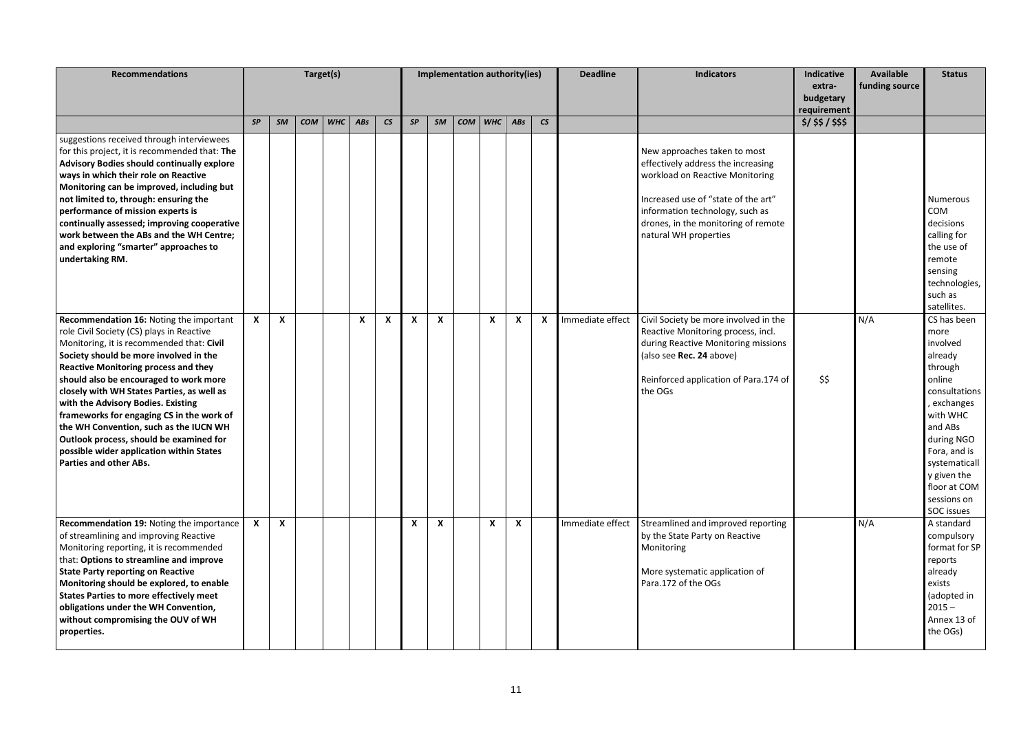| <b>Recommendations</b>                                                                                                                                                                                                                                                                                                                                                                                                                                                                                                                                           |              |                    |     | Target(s) |              |                |              |              | Implementation authority(ies) |                  |     |                          | <b>Deadline</b>  | <b>Indicators</b>                                                                                                                                                                                                                               | Indicative<br>extra-<br>budgetary<br>requirement | <b>Available</b><br>funding source | <b>Status</b>                                                                                                                                                                                                                                  |
|------------------------------------------------------------------------------------------------------------------------------------------------------------------------------------------------------------------------------------------------------------------------------------------------------------------------------------------------------------------------------------------------------------------------------------------------------------------------------------------------------------------------------------------------------------------|--------------|--------------------|-----|-----------|--------------|----------------|--------------|--------------|-------------------------------|------------------|-----|--------------------------|------------------|-------------------------------------------------------------------------------------------------------------------------------------------------------------------------------------------------------------------------------------------------|--------------------------------------------------|------------------------------------|------------------------------------------------------------------------------------------------------------------------------------------------------------------------------------------------------------------------------------------------|
|                                                                                                                                                                                                                                                                                                                                                                                                                                                                                                                                                                  | SP           | <b>SM</b>          | COM | WHC       | ABs          | C <sub>S</sub> | SP           | SM           | COM                           | <b>WHC</b>       | ABs | $\mathsf{CS}\phantom{0}$ |                  |                                                                                                                                                                                                                                                 | $$1$ \$\$ / \$\$\$                               |                                    |                                                                                                                                                                                                                                                |
| suggestions received through interviewees<br>for this project, it is recommended that: The<br>Advisory Bodies should continually explore<br>ways in which their role on Reactive<br>Monitoring can be improved, including but<br>not limited to, through: ensuring the<br>performance of mission experts is<br>continually assessed; improving cooperative<br>work between the ABs and the WH Centre;<br>and exploring "smarter" approaches to<br>undertaking RM.                                                                                                |              |                    |     |           |              |                |              |              |                               |                  |     |                          |                  | New approaches taken to most<br>effectively address the increasing<br>workload on Reactive Monitoring<br>Increased use of "state of the art"<br>information technology, such as<br>drones, in the monitoring of remote<br>natural WH properties |                                                  |                                    | Numerous<br><b>COM</b><br>decisions<br>calling for<br>the use of<br>remote<br>sensing<br>technologies,<br>such as                                                                                                                              |
| Recommendation 16: Noting the important<br>role Civil Society (CS) plays in Reactive<br>Monitoring, it is recommended that: Civil<br>Society should be more involved in the<br><b>Reactive Monitoring process and they</b><br>should also be encouraged to work more<br>closely with WH States Parties, as well as<br>with the Advisory Bodies. Existing<br>frameworks for engaging CS in the work of<br>the WH Convention, such as the IUCN WH<br>Outlook process, should be examined for<br>possible wider application within States<br>Parties and other ABs. | $\mathbf{x}$ | X                  |     |           | $\mathbf{x}$ | X              | $\mathbf{x}$ | X            |                               | $\boldsymbol{x}$ | X   | X                        | Immediate effect | Civil Society be more involved in the<br>Reactive Monitoring process, incl.<br>during Reactive Monitoring missions<br>(also see Rec. 24 above)<br>Reinforced application of Para.174 of<br>the OGs                                              | \$\$                                             | N/A                                | satellites.<br>CS has been<br>more<br>involved<br>already<br>through<br>online<br>consultations<br>exchanges<br>with WHC<br>and ABs<br>during NGO<br>Fora, and is<br>systematicall<br>y given the<br>floor at COM<br>sessions on<br>SOC issues |
| Recommendation 19: Noting the importance<br>of streamlining and improving Reactive<br>Monitoring reporting, it is recommended<br>that: Options to streamline and improve<br><b>State Party reporting on Reactive</b><br>Monitoring should be explored, to enable<br><b>States Parties to more effectively meet</b><br>obligations under the WH Convention,<br>without compromising the OUV of WH<br>properties.                                                                                                                                                  | $\mathbf{x}$ | $\pmb{\mathsf{x}}$ |     |           |              |                | $\mathbf{x}$ | $\pmb{\chi}$ |                               | X                | X   |                          | Immediate effect | Streamlined and improved reporting<br>by the State Party on Reactive<br>Monitoring<br>More systematic application of<br>Para.172 of the OGs                                                                                                     |                                                  | N/A                                | A standard<br>compulsory<br>format for SP<br>reports<br>already<br>exists<br>(adopted in<br>$2015 -$<br>Annex 13 of<br>the OGs)                                                                                                                |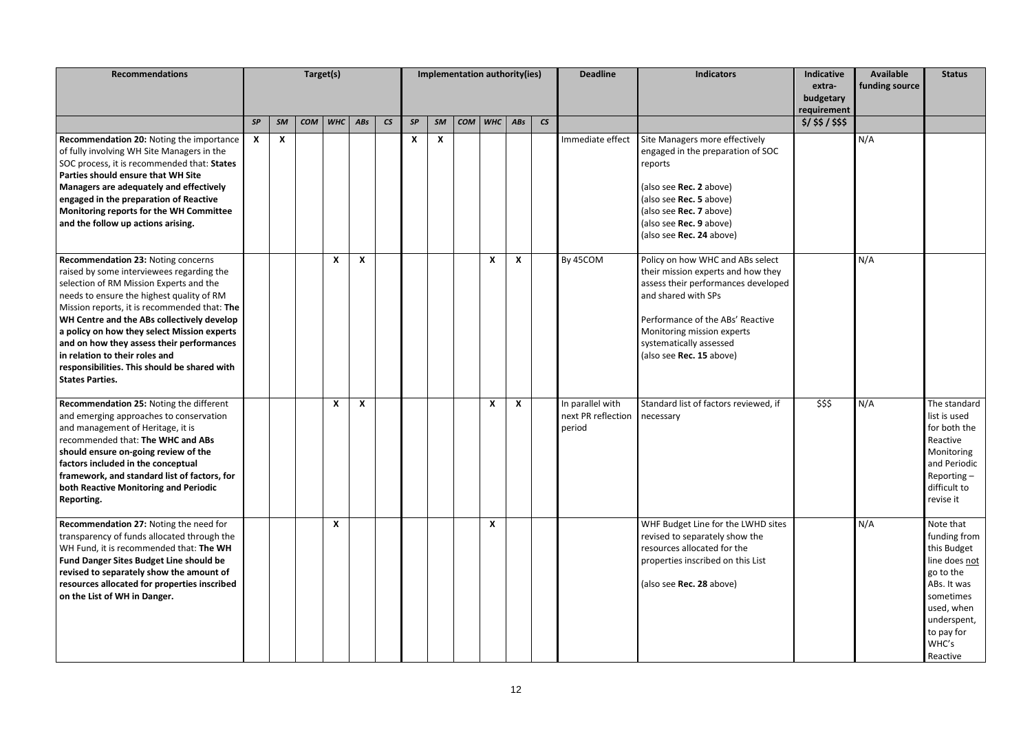| <b>Recommendations</b>                                                                                                                                                                                                                                                                                                                                                                                                                                                        |    |           |            | Target(s) |                  |                          | Implementation authority(ies) |                           |            |            |                           | <b>Deadline</b> | <b>Indicators</b>                                | <b>Indicative</b><br>extra-<br>budgetary                                                                                                                                                                                                                      | Available<br>funding source | <b>Status</b> |                                                                                                                                                                    |
|-------------------------------------------------------------------------------------------------------------------------------------------------------------------------------------------------------------------------------------------------------------------------------------------------------------------------------------------------------------------------------------------------------------------------------------------------------------------------------|----|-----------|------------|-----------|------------------|--------------------------|-------------------------------|---------------------------|------------|------------|---------------------------|-----------------|--------------------------------------------------|---------------------------------------------------------------------------------------------------------------------------------------------------------------------------------------------------------------------------------------------------------------|-----------------------------|---------------|--------------------------------------------------------------------------------------------------------------------------------------------------------------------|
|                                                                                                                                                                                                                                                                                                                                                                                                                                                                               |    |           |            |           |                  |                          |                               |                           |            |            |                           |                 |                                                  |                                                                                                                                                                                                                                                               | requirement                 |               |                                                                                                                                                                    |
|                                                                                                                                                                                                                                                                                                                                                                                                                                                                               | SP | <b>SM</b> | <b>COM</b> | WHC       | AB <sub>S</sub>  | $\mathsf{CS}\phantom{0}$ | SP                            | <b>SM</b>                 | <b>COM</b> | <b>WHC</b> | AB <sub>S</sub>           | $\mathsf{CS}$   |                                                  |                                                                                                                                                                                                                                                               | $$1$ \$\$ / \$\$\$          |               |                                                                                                                                                                    |
| Recommendation 20: Noting the importance<br>of fully involving WH Site Managers in the<br>SOC process, it is recommended that: States<br>Parties should ensure that WH Site<br>Managers are adequately and effectively<br>engaged in the preparation of Reactive<br>Monitoring reports for the WH Committee<br>and the follow up actions arising.                                                                                                                             | X  | X         |            |           |                  |                          | X                             | $\boldsymbol{\mathsf{x}}$ |            |            |                           |                 | Immediate effect                                 | Site Managers more effectively<br>engaged in the preparation of SOC<br>reports<br>(also see Rec. 2 above)<br>(also see Rec. 5 above)<br>(also see Rec. 7 above)<br>(also see Rec. 9 above)<br>(also see Rec. 24 above)                                        |                             | N/A           |                                                                                                                                                                    |
| Recommendation 23: Noting concerns<br>raised by some interviewees regarding the<br>selection of RM Mission Experts and the<br>needs to ensure the highest quality of RM<br>Mission reports, it is recommended that: The<br>WH Centre and the ABs collectively develop<br>a policy on how they select Mission experts<br>and on how they assess their performances<br>in relation to their roles and<br>responsibilities. This should be shared with<br><b>States Parties.</b> |    |           |            | X         | $\boldsymbol{x}$ |                          |                               |                           |            | X          | $\boldsymbol{\mathsf{x}}$ |                 | By 45COM                                         | Policy on how WHC and ABs select<br>their mission experts and how they<br>assess their performances developed<br>and shared with SPs<br>Performance of the ABs' Reactive<br>Monitoring mission experts<br>systematically assessed<br>(also see Rec. 15 above) |                             | N/A           |                                                                                                                                                                    |
| Recommendation 25: Noting the different<br>and emerging approaches to conservation<br>and management of Heritage, it is<br>recommended that: The WHC and ABs<br>should ensure on-going review of the<br>factors included in the conceptual<br>framework, and standard list of factors, for<br>both Reactive Monitoring and Periodic<br>Reporting.                                                                                                                             |    |           |            | X         | X                |                          |                               |                           |            | X          | $\boldsymbol{x}$          |                 | In parallel with<br>next PR reflection<br>period | Standard list of factors reviewed, if<br>necessary                                                                                                                                                                                                            | \$\$\$                      | N/A           | The standard<br>list is used<br>for both the<br>Reactive<br>Monitoring<br>and Periodic<br>Reporting-<br>difficult to<br>revise it                                  |
| Recommendation 27: Noting the need for<br>transparency of funds allocated through the<br>WH Fund, it is recommended that: The WH<br><b>Fund Danger Sites Budget Line should be</b><br>revised to separately show the amount of<br>resources allocated for properties inscribed<br>on the List of WH in Danger.                                                                                                                                                                |    |           |            | X         |                  |                          |                               |                           |            | X          |                           |                 |                                                  | WHF Budget Line for the LWHD sites<br>revised to separately show the<br>resources allocated for the<br>properties inscribed on this List<br>(also see Rec. 28 above)                                                                                          |                             | N/A           | Note that<br>funding from<br>this Budget<br>line does not<br>go to the<br>ABs. It was<br>sometimes<br>used, when<br>underspent,<br>to pay for<br>WHC's<br>Reactive |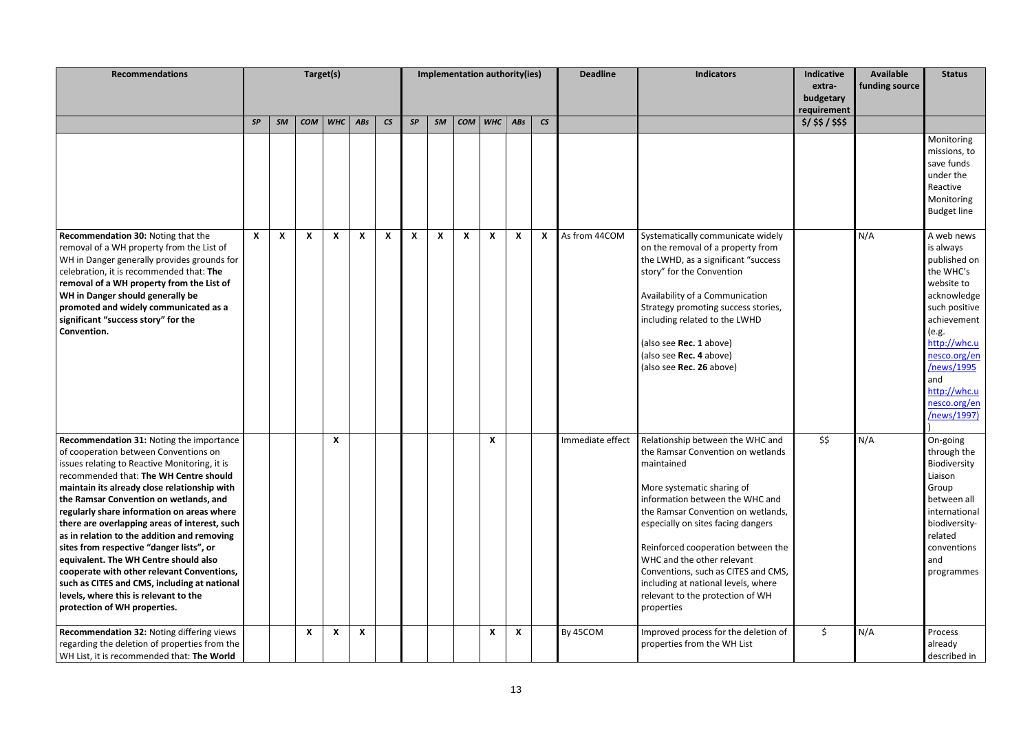| <b>Recommendations</b>                                                                                                                                                                                                                                                                                                                                                                                                                                                                                                                                                                                                                                                           |                           |    |     | Target(s)        |              |                          |    |                           |     | Implementation authority(ies) |                           |                           | <b>Deadline</b>  | <b>Indicators</b>                                                                                                                                                                                                                                                                                                                                                                                                                    | Indicative              | <b>Available</b> | <b>Status</b>                                                                                                                                                                                                                  |
|----------------------------------------------------------------------------------------------------------------------------------------------------------------------------------------------------------------------------------------------------------------------------------------------------------------------------------------------------------------------------------------------------------------------------------------------------------------------------------------------------------------------------------------------------------------------------------------------------------------------------------------------------------------------------------|---------------------------|----|-----|------------------|--------------|--------------------------|----|---------------------------|-----|-------------------------------|---------------------------|---------------------------|------------------|--------------------------------------------------------------------------------------------------------------------------------------------------------------------------------------------------------------------------------------------------------------------------------------------------------------------------------------------------------------------------------------------------------------------------------------|-------------------------|------------------|--------------------------------------------------------------------------------------------------------------------------------------------------------------------------------------------------------------------------------|
|                                                                                                                                                                                                                                                                                                                                                                                                                                                                                                                                                                                                                                                                                  |                           |    |     |                  |              |                          |    |                           |     |                               |                           |                           |                  |                                                                                                                                                                                                                                                                                                                                                                                                                                      | extra-<br>budgetary     | funding source   |                                                                                                                                                                                                                                |
|                                                                                                                                                                                                                                                                                                                                                                                                                                                                                                                                                                                                                                                                                  |                           |    |     |                  |              |                          |    |                           |     |                               |                           |                           |                  |                                                                                                                                                                                                                                                                                                                                                                                                                                      | requirement             |                  |                                                                                                                                                                                                                                |
|                                                                                                                                                                                                                                                                                                                                                                                                                                                                                                                                                                                                                                                                                  | SP                        | SM | COM | WHC              | ABs          | $\mathsf{CS}\phantom{0}$ | SP | SM                        | COM | <b>WHC</b>                    | ABs                       | $\overline{\mathsf{c}}$ s |                  |                                                                                                                                                                                                                                                                                                                                                                                                                                      | 5/55/555                |                  |                                                                                                                                                                                                                                |
|                                                                                                                                                                                                                                                                                                                                                                                                                                                                                                                                                                                                                                                                                  |                           |    |     |                  |              |                          |    |                           |     |                               |                           |                           |                  |                                                                                                                                                                                                                                                                                                                                                                                                                                      |                         |                  | Monitoring<br>missions, to<br>save funds<br>under the<br>Reactive<br>Monitoring<br><b>Budget line</b>                                                                                                                          |
| Recommendation 30: Noting that the<br>removal of a WH property from the List of<br>WH in Danger generally provides grounds for<br>celebration, it is recommended that: The<br>removal of a WH property from the List of<br>WH in Danger should generally be<br>promoted and widely communicated as a<br>significant "success story" for the<br>Convention.                                                                                                                                                                                                                                                                                                                       | $\boldsymbol{\mathsf{x}}$ | X  | X   | X                | $\mathbf{x}$ | X                        | x  | $\boldsymbol{\mathsf{x}}$ | x   | X                             | $\boldsymbol{\mathsf{x}}$ | $\boldsymbol{\mathsf{x}}$ | As from 44COM    | Systematically communicate widely<br>on the removal of a property from<br>the LWHD, as a significant "success"<br>story" for the Convention<br>Availability of a Communication<br>Strategy promoting success stories,<br>including related to the LWHD<br>(also see Rec. 1 above)<br>(also see Rec. 4 above)<br>(also see Rec. 26 above)                                                                                             |                         | N/A              | A web news<br>is always<br>published on<br>the WHC's<br>website to<br>acknowledge<br>such positive<br>achievement<br>(e.g.<br>http://whc.u<br>nesco.org/en<br>/news/1995<br>and<br>http://whc.u<br>nesco.org/en<br>/news/1997) |
| Recommendation 31: Noting the importance<br>of cooperation between Conventions on<br>issues relating to Reactive Monitoring, it is<br>recommended that: The WH Centre should<br>maintain its already close relationship with<br>the Ramsar Convention on wetlands, and<br>regularly share information on areas where<br>there are overlapping areas of interest, such<br>as in relation to the addition and removing<br>sites from respective "danger lists", or<br>equivalent. The WH Centre should also<br>cooperate with other relevant Conventions,<br>such as CITES and CMS, including at national<br>levels, where this is relevant to the<br>protection of WH properties. |                           |    |     | $\boldsymbol{x}$ |              |                          |    |                           |     | $\boldsymbol{x}$              |                           |                           | Immediate effect | Relationship between the WHC and<br>the Ramsar Convention on wetlands<br>maintained<br>More systematic sharing of<br>information between the WHC and<br>the Ramsar Convention on wetlands,<br>especially on sites facing dangers<br>Reinforced cooperation between the<br>WHC and the other relevant<br>Conventions, such as CITES and CMS,<br>including at national levels, where<br>relevant to the protection of WH<br>properties | $\overline{\mathbf{5}}$ | N/A              | On-going<br>through the<br>Biodiversity<br>Liaison<br>Group<br>between all<br>international<br>biodiversity-<br>related<br>conventions<br>and<br>programmes                                                                    |
| Recommendation 32: Noting differing views<br>regarding the deletion of properties from the<br>WH List, it is recommended that: The World                                                                                                                                                                                                                                                                                                                                                                                                                                                                                                                                         |                           |    | X   | X                | X            |                          |    |                           |     | X                             | X                         |                           | By 45COM         | Improved process for the deletion of<br>properties from the WH List                                                                                                                                                                                                                                                                                                                                                                  | \$                      | N/A              | Process<br>already<br>described in                                                                                                                                                                                             |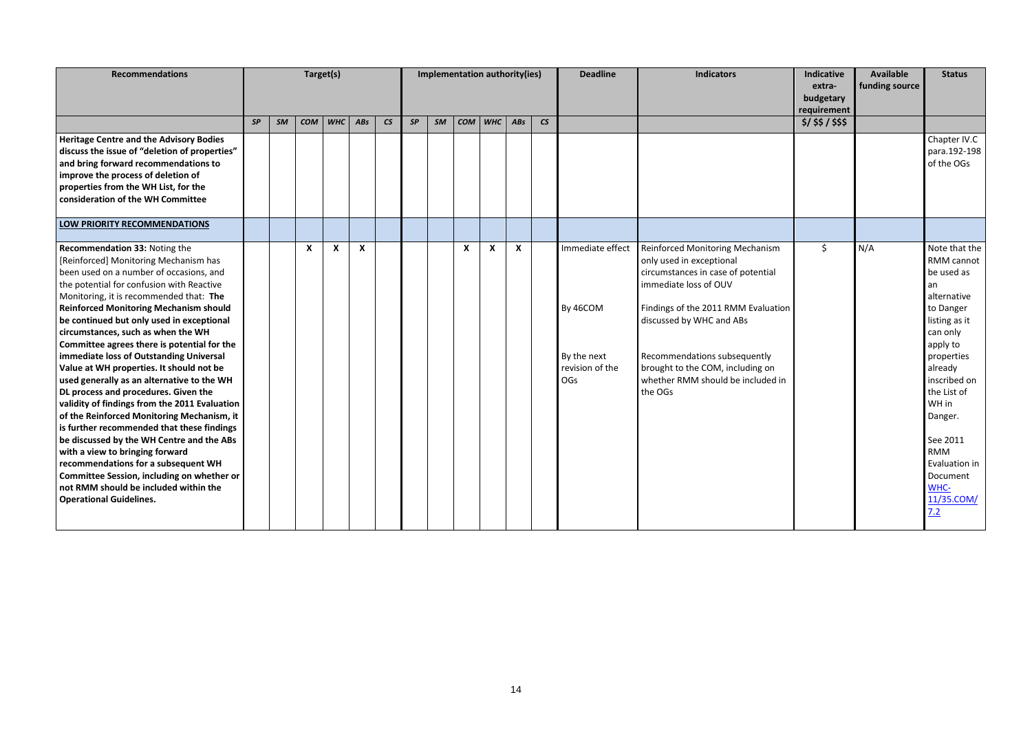| <b>Recommendations</b>                                                                 |           |    |            | Target(s) |              |               |    |           |     | Implementation authority(ies) |                 |                           | <b>Deadline</b>                | <b>Indicators</b>                                                     | Indicative                        | <b>Available</b> | <b>Status</b>         |
|----------------------------------------------------------------------------------------|-----------|----|------------|-----------|--------------|---------------|----|-----------|-----|-------------------------------|-----------------|---------------------------|--------------------------------|-----------------------------------------------------------------------|-----------------------------------|------------------|-----------------------|
|                                                                                        |           |    |            |           |              |               |    |           |     |                               |                 |                           |                                |                                                                       | extra-                            | funding source   |                       |
|                                                                                        |           |    |            |           |              |               |    |           |     |                               |                 |                           |                                |                                                                       | budgetary                         |                  |                       |
|                                                                                        | <b>SP</b> | SM | <b>COM</b> | WHC       | ABs          | $\mathsf{CS}$ | SP | <b>SM</b> | COM | <b>WHC</b>                    | AB <sub>S</sub> | $\overline{\mathsf{c}}$ s |                                |                                                                       | requirement<br>$$1$ \$\$ / \$\$\$ |                  |                       |
|                                                                                        |           |    |            |           |              |               |    |           |     |                               |                 |                           |                                |                                                                       |                                   |                  |                       |
| <b>Heritage Centre and the Advisory Bodies</b>                                         |           |    |            |           |              |               |    |           |     |                               |                 |                           |                                |                                                                       |                                   |                  | Chapter IV.C          |
| discuss the issue of "deletion of properties"                                          |           |    |            |           |              |               |    |           |     |                               |                 |                           |                                |                                                                       |                                   |                  | para.192-198          |
| and bring forward recommendations to                                                   |           |    |            |           |              |               |    |           |     |                               |                 |                           |                                |                                                                       |                                   |                  | of the OGs            |
| improve the process of deletion of                                                     |           |    |            |           |              |               |    |           |     |                               |                 |                           |                                |                                                                       |                                   |                  |                       |
| properties from the WH List, for the                                                   |           |    |            |           |              |               |    |           |     |                               |                 |                           |                                |                                                                       |                                   |                  |                       |
| consideration of the WH Committee                                                      |           |    |            |           |              |               |    |           |     |                               |                 |                           |                                |                                                                       |                                   |                  |                       |
| LOW PRIORITY RECOMMENDATIONS                                                           |           |    |            |           |              |               |    |           |     |                               |                 |                           |                                |                                                                       |                                   |                  |                       |
|                                                                                        |           |    |            |           |              |               |    |           |     |                               |                 |                           |                                |                                                                       |                                   |                  |                       |
| Recommendation 33: Noting the                                                          |           |    | X          | X         | $\mathbf{x}$ |               |    |           | X   | X                             | X               |                           | Immediate effect               | Reinforced Monitoring Mechanism                                       | \$                                | N/A              | Note that the         |
| [Reinforced] Monitoring Mechanism has                                                  |           |    |            |           |              |               |    |           |     |                               |                 |                           |                                | only used in exceptional                                              |                                   |                  | RMM cannot            |
| been used on a number of occasions, and                                                |           |    |            |           |              |               |    |           |     |                               |                 |                           |                                | circumstances in case of potential                                    |                                   |                  | be used as            |
| the potential for confusion with Reactive                                              |           |    |            |           |              |               |    |           |     |                               |                 |                           |                                | immediate loss of OUV                                                 |                                   |                  | an                    |
| Monitoring, it is recommended that: The                                                |           |    |            |           |              |               |    |           |     |                               |                 |                           |                                |                                                                       |                                   |                  | alternative           |
| <b>Reinforced Monitoring Mechanism should</b>                                          |           |    |            |           |              |               |    |           |     |                               |                 |                           | By 46COM                       | Findings of the 2011 RMM Evaluation                                   |                                   |                  | to Danger             |
| be continued but only used in exceptional                                              |           |    |            |           |              |               |    |           |     |                               |                 |                           |                                | discussed by WHC and ABs                                              |                                   |                  | listing as it         |
| circumstances, such as when the WH                                                     |           |    |            |           |              |               |    |           |     |                               |                 |                           |                                |                                                                       |                                   |                  | can only              |
| Committee agrees there is potential for the                                            |           |    |            |           |              |               |    |           |     |                               |                 |                           |                                |                                                                       |                                   |                  | apply to              |
| immediate loss of Outstanding Universal                                                |           |    |            |           |              |               |    |           |     |                               |                 |                           | By the next<br>revision of the | Recommendations subsequently                                          |                                   |                  | properties<br>already |
| Value at WH properties. It should not be<br>used generally as an alternative to the WH |           |    |            |           |              |               |    |           |     |                               |                 |                           | <b>OGs</b>                     | brought to the COM, including on<br>whether RMM should be included in |                                   |                  | inscribed on          |
| DL process and procedures. Given the                                                   |           |    |            |           |              |               |    |           |     |                               |                 |                           |                                | the OGs                                                               |                                   |                  | the List of           |
| validity of findings from the 2011 Evaluation                                          |           |    |            |           |              |               |    |           |     |                               |                 |                           |                                |                                                                       |                                   |                  | WH in                 |
| of the Reinforced Monitoring Mechanism, it                                             |           |    |            |           |              |               |    |           |     |                               |                 |                           |                                |                                                                       |                                   |                  | Danger.               |
| is further recommended that these findings                                             |           |    |            |           |              |               |    |           |     |                               |                 |                           |                                |                                                                       |                                   |                  |                       |
| be discussed by the WH Centre and the ABs                                              |           |    |            |           |              |               |    |           |     |                               |                 |                           |                                |                                                                       |                                   |                  | See 2011              |
| with a view to bringing forward                                                        |           |    |            |           |              |               |    |           |     |                               |                 |                           |                                |                                                                       |                                   |                  | <b>RMM</b>            |
| recommendations for a subsequent WH                                                    |           |    |            |           |              |               |    |           |     |                               |                 |                           |                                |                                                                       |                                   |                  | Evaluation in         |
| Committee Session, including on whether or                                             |           |    |            |           |              |               |    |           |     |                               |                 |                           |                                |                                                                       |                                   |                  | Document              |
| not RMM should be included within the                                                  |           |    |            |           |              |               |    |           |     |                               |                 |                           |                                |                                                                       |                                   |                  | WHC-                  |
| <b>Operational Guidelines.</b>                                                         |           |    |            |           |              |               |    |           |     |                               |                 |                           |                                |                                                                       |                                   |                  | 11/35.COM/            |
|                                                                                        |           |    |            |           |              |               |    |           |     |                               |                 |                           |                                |                                                                       |                                   |                  | 7.2                   |
|                                                                                        |           |    |            |           |              |               |    |           |     |                               |                 |                           |                                |                                                                       |                                   |                  |                       |